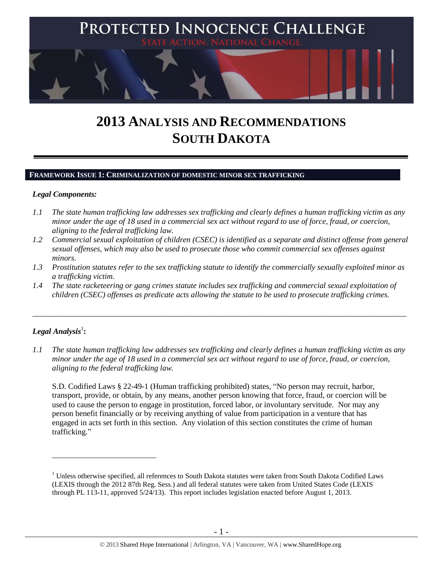

# **2013 ANALYSIS AND RECOMMENDATIONS SOUTH DAKOTA**

#### **FRAMEWORK ISSUE 1: CRIMINALIZATION OF DOMESTIC MINOR SEX TRAFFICKING**

#### *Legal Components:*

- *1.1 The state human trafficking law addresses sex trafficking and clearly defines a human trafficking victim as any minor under the age of 18 used in a commercial sex act without regard to use of force, fraud, or coercion, aligning to the federal trafficking law.*
- *1.2 Commercial sexual exploitation of children (CSEC) is identified as a separate and distinct offense from general sexual offenses, which may also be used to prosecute those who commit commercial sex offenses against minors.*
- *1.3 Prostitution statutes refer to the sex trafficking statute to identify the commercially sexually exploited minor as a trafficking victim.*

\_\_\_\_\_\_\_\_\_\_\_\_\_\_\_\_\_\_\_\_\_\_\_\_\_\_\_\_\_\_\_\_\_\_\_\_\_\_\_\_\_\_\_\_\_\_\_\_\_\_\_\_\_\_\_\_\_\_\_\_\_\_\_\_\_\_\_\_\_\_\_\_\_\_\_\_\_\_\_\_\_\_\_\_\_\_\_\_\_\_\_\_\_\_

*1.4 The state racketeering or gang crimes statute includes sex trafficking and commercial sexual exploitation of children (CSEC) offenses as predicate acts allowing the statute to be used to prosecute trafficking crimes.* 

# $\boldsymbol{Legal}$  Analysis $^1$ :

 $\overline{a}$ 

*1.1 The state human trafficking law addresses sex trafficking and clearly defines a human trafficking victim as any minor under the age of 18 used in a commercial sex act without regard to use of force, fraud, or coercion, aligning to the federal trafficking law.*

S.D. Codified Laws § 22-49-1 (Human trafficking prohibited) states, "No person may recruit, harbor, transport, provide, or obtain, by any means, another person knowing that force, fraud, or coercion will be used to cause the person to engage in prostitution, forced labor, or involuntary servitude. Nor may any person benefit financially or by receiving anything of value from participation in a venture that has engaged in acts set forth in this section. Any violation of this section constitutes the crime of human trafficking."

<sup>&</sup>lt;sup>1</sup> Unless otherwise specified, all references to South Dakota statutes were taken from South Dakota Codified Laws (LEXIS through the 2012 87th Reg. Sess.) and all federal statutes were taken from United States Code (LEXIS through PL 113-11, approved 5/24/13). This report includes legislation enacted before August 1, 2013.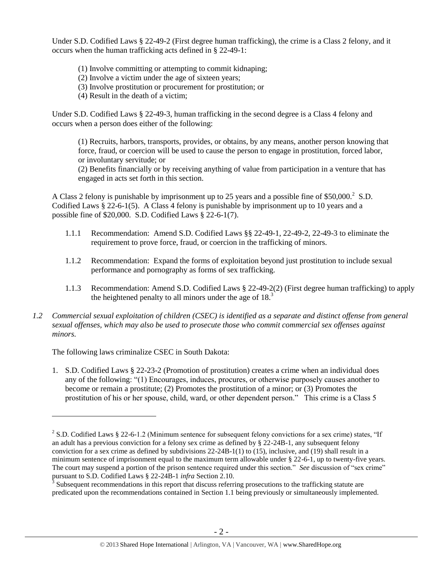Under S.D. Codified Laws § 22-49-2 (First degree human trafficking), the crime is a Class 2 felony, and it occurs when the human trafficking acts defined in § 22-49-1:

- (1) Involve committing or attempting to commit kidnaping;
- (2) Involve a victim under the age of sixteen years;
- (3) Involve prostitution or procurement for prostitution; or
- (4) Result in the death of a victim;

Under S.D. Codified Laws § 22-49-3, human trafficking in the second degree is a Class 4 felony and occurs when a person does either of the following:

(1) Recruits, harbors, transports, provides, or obtains, by any means, another person knowing that force, fraud, or coercion will be used to cause the person to engage in prostitution, forced labor, or involuntary servitude; or

(2) Benefits financially or by receiving anything of value from participation in a venture that has engaged in acts set forth in this section.

A Class 2 felony is punishable by imprisonment up to 25 years and a possible fine of \$50,000.<sup>2</sup> S.D. Codified Laws  $\S$  22-6-1(5). A Class 4 felony is punishable by imprisonment up to 10 years and a possible fine of \$20,000. S.D. Codified Laws § 22-6-1(7).

- 1.1.1 Recommendation: Amend S.D. Codified Laws §§ 22-49-1, 22-49-2, 22-49-3 to eliminate the requirement to prove force, fraud, or coercion in the trafficking of minors.
- 1.1.2 Recommendation: Expand the forms of exploitation beyond just prostitution to include sexual performance and pornography as forms of sex trafficking.
- 1.1.3 Recommendation: Amend S.D. Codified Laws § 22-49-2(2) (First degree human trafficking) to apply the heightened penalty to all minors under the age of  $18<sup>3</sup>$
- *1.2 Commercial sexual exploitation of children (CSEC) is identified as a separate and distinct offense from general sexual offenses, which may also be used to prosecute those who commit commercial sex offenses against minors.*

The following laws criminalize CSEC in South Dakota:

 $\overline{a}$ 

1. S.D. Codified Laws § 22-23-2 (Promotion of prostitution) creates a crime when an individual does any of the following: "(1) Encourages, induces, procures, or otherwise purposely causes another to become or remain a prostitute; (2) Promotes the prostitution of a minor; or (3) Promotes the prostitution of his or her spouse, child, ward, or other dependent person." This crime is a Class 5

<sup>&</sup>lt;sup>2</sup> S.D. Codified Laws § 22-6-1.2 (Minimum sentence for subsequent felony convictions for a sex crime) states, "If an adult has a previous conviction for a felony sex crime as defined by § 22-24B-1, any subsequent felony conviction for a sex crime as defined by subdivisions 22-24B-1(1) to (15), inclusive, and (19) shall result in a minimum sentence of imprisonment equal to the maximum term allowable under § 22-6-1, up to twenty-five years. The court may suspend a portion of the prison sentence required under this section." *See* discussion of "sex crime" pursuant to S.D. Codified Laws § 22-24B-1 *infra* Section 2.10.

 $3$  Subsequent recommendations in this report that discuss referring prosecutions to the trafficking statute are predicated upon the recommendations contained in Section 1.1 being previously or simultaneously implemented.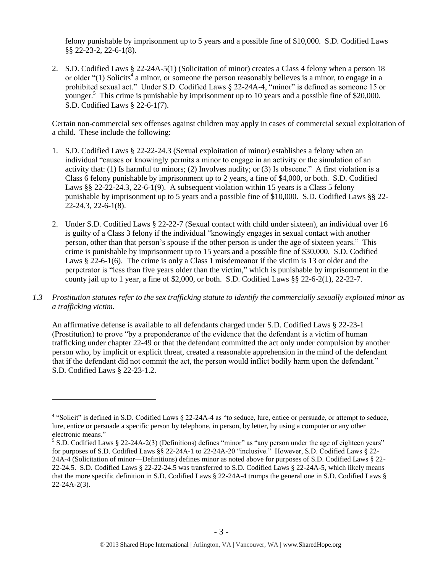felony punishable by imprisonment up to 5 years and a possible fine of \$10,000. S.D. Codified Laws §§ 22-23-2, 22-6-1(8).

<span id="page-2-0"></span>2. S.D. Codified Laws § 22-24A-5(1) (Solicitation of minor) creates a Class 4 felony when a person 18 or older " $(1)$  Solicits<sup>4</sup> a minor, or someone the person reasonably believes is a minor, to engage in a prohibited sexual act." Under S.D. Codified Laws § 22-24A-4, "minor" is defined as someone 15 or younger.<sup>5</sup> This crime is punishable by imprisonment up to 10 years and a possible fine of \$20,000. S.D. Codified Laws § 22-6-1(7).

Certain non-commercial sex offenses against children may apply in cases of commercial sexual exploitation of a child. These include the following:

- 1. S.D. Codified Laws § 22-22-24.3 (Sexual exploitation of minor) establishes a felony when an individual "causes or knowingly permits a minor to engage in an activity or the simulation of an activity that: (1) Is harmful to minors; (2) Involves nudity; or (3) Is obscene." A first violation is a Class 6 felony punishable by imprisonment up to 2 years, a fine of \$4,000, or both. S.D. Codified Laws §§ 22-22-24.3, 22-6-1(9). A subsequent violation within 15 years is a Class 5 felony punishable by imprisonment up to 5 years and a possible fine of \$10,000. S.D. Codified Laws §§ 22- 22-24.3, 22-6-1(8).
- 2. Under S.D. Codified Laws § 22-22-7 (Sexual contact with child under sixteen), an individual over 16 is guilty of a Class 3 felony if the individual "knowingly engages in sexual contact with another person, other than that person's spouse if the other person is under the age of sixteen years." This crime is punishable by imprisonment up to 15 years and a possible fine of \$30,000. S.D. Codified Laws § 22-6-1(6). The crime is only a Class 1 misdemeanor if the victim is 13 or older and the perpetrator is "less than five years older than the victim," which is punishable by imprisonment in the county jail up to 1 year, a fine of \$2,000, or both. S.D. Codified Laws §§ 22-6-2(1), 22-22-7.
- *1.3 Prostitution statutes refer to the sex trafficking statute to identify the commercially sexually exploited minor as a trafficking victim.*

An affirmative defense is available to all defendants charged under S.D. Codified Laws § 22-23-1 (Prostitution) to prove "by a preponderance of the evidence that the defendant is a victim of human trafficking under chapter 22-49 or that the defendant committed the act only under compulsion by another person who, by implicit or explicit threat, created a reasonable apprehension in the mind of the defendant that if the defendant did not commit the act, the person would inflict bodily harm upon the defendant." S.D. Codified Laws § 22-23-1.2.

<sup>&</sup>lt;sup>4</sup> "Solicit" is defined in S.D. Codified Laws  $\S$  22-24A-4 as "to seduce, lure, entice or persuade, or attempt to seduce, lure, entice or persuade a specific person by telephone, in person, by letter, by using a computer or any other electronic means."

<sup>&</sup>lt;sup>5</sup> S.D. Codified Laws § 22-24A-2(3) (Definitions) defines "minor" as "any person under the age of eighteen years" for purposes of S.D. Codified Laws §§ 22-24A-1 to 22-24A-20 "inclusive." However, S.D. Codified Laws § 22- 24A-4 (Solicitation of minor—Definitions) defines minor as noted above for purposes of S.D. Codified Laws § 22- 22-24.5. S.D. Codified Laws § 22-22-24.5 was transferred to S.D. Codified Laws § 22-24A-5, which likely means that the more specific definition in S.D. Codified Laws § 22-24A-4 trumps the general one in S.D. Codified Laws § 22-24A-2(3).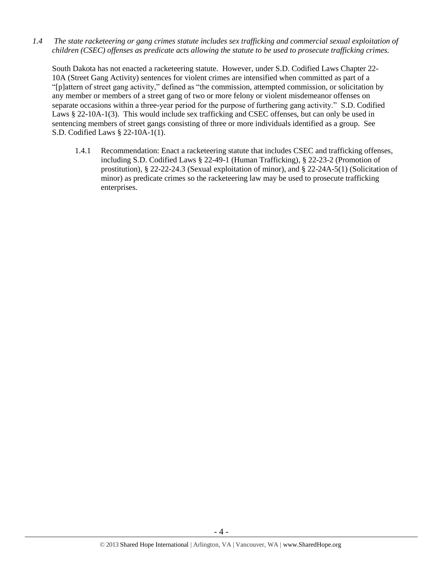*1.4 The state racketeering or gang crimes statute includes sex trafficking and commercial sexual exploitation of children (CSEC) offenses as predicate acts allowing the statute to be used to prosecute trafficking crimes.* 

South Dakota has not enacted a racketeering statute. However, under S.D. Codified Laws Chapter 22- 10A (Street Gang Activity) sentences for violent crimes are intensified when committed as part of a "[p]attern of street gang activity," defined as "the commission, attempted commission, or solicitation by any member or members of a street gang of two or more felony or violent misdemeanor offenses on separate occasions within a three-year period for the purpose of furthering gang activity." S.D. Codified Laws § 22-10A-1(3). This would include sex trafficking and CSEC offenses, but can only be used in sentencing members of street gangs consisting of three or more individuals identified as a group. See S.D. Codified Laws § 22-10A-1(1).

1.4.1 Recommendation: Enact a racketeering statute that includes CSEC and trafficking offenses, including S.D. Codified Laws § 22-49-1 (Human Trafficking), § 22-23-2 (Promotion of prostitution), § 22-22-24.3 (Sexual exploitation of minor), and § 22-24A-5(1) (Solicitation of minor) as predicate crimes so the racketeering law may be used to prosecute trafficking enterprises.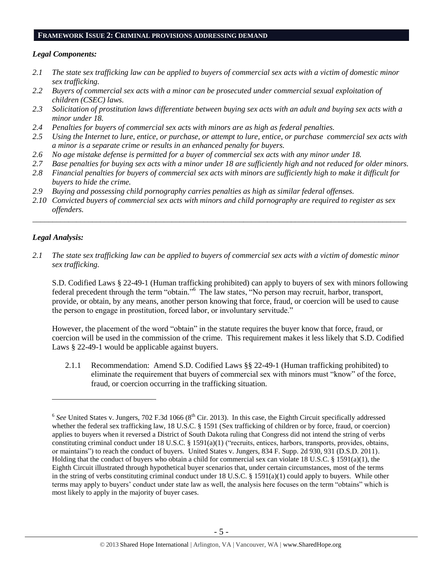#### **FRAMEWORK ISSUE 2: CRIMINAL PROVISIONS ADDRESSING DEMAND**

#### *Legal Components:*

- *2.1 The state sex trafficking law can be applied to buyers of commercial sex acts with a victim of domestic minor sex trafficking.*
- *2.2 Buyers of commercial sex acts with a minor can be prosecuted under commercial sexual exploitation of children (CSEC) laws.*
- *2.3 Solicitation of prostitution laws differentiate between buying sex acts with an adult and buying sex acts with a minor under 18.*
- *2.4 Penalties for buyers of commercial sex acts with minors are as high as federal penalties.*
- *2.5 Using the Internet to lure, entice, or purchase, or attempt to lure, entice, or purchase commercial sex acts with a minor is a separate crime or results in an enhanced penalty for buyers.*
- *2.6 No age mistake defense is permitted for a buyer of commercial sex acts with any minor under 18.*
- *2.7 Base penalties for buying sex acts with a minor under 18 are sufficiently high and not reduced for older minors. 2.8 Financial penalties for buyers of commercial sex acts with minors are sufficiently high to make it difficult for*
- *buyers to hide the crime.*
- *2.9 Buying and possessing child pornography carries penalties as high as similar federal offenses.*
- *2.10 Convicted buyers of commercial sex acts with minors and child pornography are required to register as sex offenders.*

\_\_\_\_\_\_\_\_\_\_\_\_\_\_\_\_\_\_\_\_\_\_\_\_\_\_\_\_\_\_\_\_\_\_\_\_\_\_\_\_\_\_\_\_\_\_\_\_\_\_\_\_\_\_\_\_\_\_\_\_\_\_\_\_\_\_\_\_\_\_\_\_\_\_\_\_\_\_\_\_\_\_\_\_\_\_\_\_\_\_\_\_\_\_

#### *Legal Analysis:*

 $\overline{a}$ 

*2.1 The state sex trafficking law can be applied to buyers of commercial sex acts with a victim of domestic minor sex trafficking.* 

S.D. Codified Laws § 22-49-1 (Human trafficking prohibited) can apply to buyers of sex with minors following federal precedent through the term "obtain."<sup>6</sup> The law states, "No person may recruit, harbor, transport, provide, or obtain, by any means, another person knowing that force, fraud, or coercion will be used to cause the person to engage in prostitution, forced labor, or involuntary servitude."

However, the placement of the word "obtain" in the statute requires the buyer know that force, fraud, or coercion will be used in the commission of the crime. This requirement makes it less likely that S.D. Codified Laws § 22-49-1 would be applicable against buyers.

2.1.1 Recommendation: Amend S.D. Codified Laws §§ 22-49-1 (Human trafficking prohibited) to eliminate the requirement that buyers of commercial sex with minors must "know" of the force, fraud, or coercion occurring in the trafficking situation.

 $6$  See United States v. Jungers, 702 F.3d 1066 ( $8<sup>th</sup>$  Cir. 2013). In this case, the Eighth Circuit specifically addressed whether the federal sex trafficking law, 18 U.S.C. § 1591 (Sex trafficking of children or by force, fraud, or coercion) applies to buyers when it reversed a District of South Dakota ruling that Congress did not intend the string of verbs constituting criminal conduct under 18 U.S.C. § 1591(a)(1) ("recruits, entices, harbors, transports, provides, obtains, or maintains") to reach the conduct of buyers. United States v. Jungers, 834 F. Supp. 2d 930, 931 (D.S.D. 2011). Holding that the conduct of buyers who obtain a child for commercial sex can violate 18 U.S.C. § 1591(a)(1), the Eighth Circuit illustrated through hypothetical buyer scenarios that, under certain circumstances, most of the terms in the string of verbs constituting criminal conduct under 18 U.S.C. § 1591(a)(1) could apply to buyers. While other terms may apply to buyers' conduct under state law as well, the analysis here focuses on the term "obtains" which is most likely to apply in the majority of buyer cases.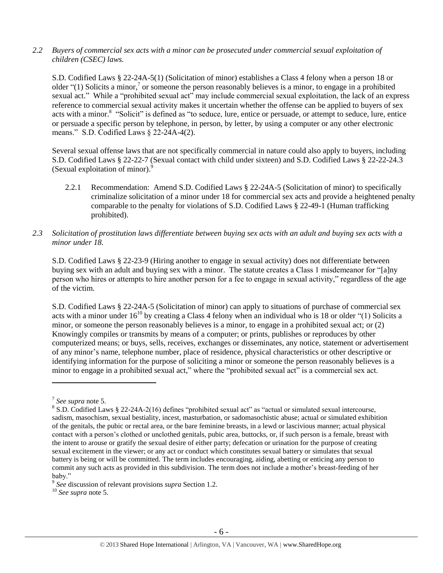## *2.2 Buyers of commercial sex acts with a minor can be prosecuted under commercial sexual exploitation of children (CSEC) laws.*

S.D. Codified Laws § 22-24A-5(1) (Solicitation of minor) establishes a Class 4 felony when a person 18 or older "(1) Solicits a minor,<sup>7</sup> or someone the person reasonably believes is a minor, to engage in a prohibited sexual act." While a "prohibited sexual act" may include commercial sexual exploitation, the lack of an express reference to commercial sexual activity makes it uncertain whether the offense can be applied to buyers of sex acts with a minor.<sup>8</sup> "Solicit" is defined as "to seduce, lure, entice or persuade, or attempt to seduce, lure, entice or persuade a specific person by telephone, in person, by letter, by using a computer or any other electronic means." S.D. Codified Laws § 22-24A-4(2).

Several sexual offense laws that are not specifically commercial in nature could also apply to buyers, including S.D. Codified Laws § 22-22-7 (Sexual contact with child under sixteen) and S.D. Codified Laws § 22-22-24.3 (Sexual exploitation of minor).<sup>9</sup>

- 2.2.1 Recommendation: Amend S.D. Codified Laws § 22-24A-5 (Solicitation of minor) to specifically criminalize solicitation of a minor under 18 for commercial sex acts and provide a heightened penalty comparable to the penalty for violations of S.D. Codified Laws § 22-49-1 (Human trafficking prohibited).
- *2.3 Solicitation of prostitution laws differentiate between buying sex acts with an adult and buying sex acts with a minor under 18.*

S.D. Codified Laws § 22-23-9 (Hiring another to engage in sexual activity) does not differentiate between buying sex with an adult and buying sex with a minor. The statute creates a Class 1 misdemeanor for "[a]ny person who hires or attempts to hire another person for a fee to engage in sexual activity," regardless of the age of the victim.

S.D. Codified Laws § 22-24A-5 (Solicitation of minor) can apply to situations of purchase of commercial sex acts with a minor under  $16^{10}$  by creating a Class 4 felony when an individual who is 18 or older "(1) Solicits a minor, or someone the person reasonably believes is a minor, to engage in a prohibited sexual act; or (2) Knowingly compiles or transmits by means of a computer; or prints, publishes or reproduces by other computerized means; or buys, sells, receives, exchanges or disseminates, any notice, statement or advertisement of any minor's name, telephone number, place of residence, physical characteristics or other descriptive or identifying information for the purpose of soliciting a minor or someone the person reasonably believes is a minor to engage in a prohibited sexual act," where the "prohibited sexual act" is a commercial sex act.

<sup>7</sup> *See supra* note [5.](#page-2-0)

<sup>&</sup>lt;sup>8</sup> S.D. Codified Laws § 22-24A-2(16) defines "prohibited sexual act" as "actual or simulated sexual intercourse, sadism, masochism, sexual bestiality, incest, masturbation, or sadomasochistic abuse; actual or simulated exhibition of the genitals, the pubic or rectal area, or the bare feminine breasts, in a lewd or lascivious manner; actual physical contact with a person's clothed or unclothed genitals, pubic area, buttocks, or, if such person is a female, breast with the intent to arouse or gratify the sexual desire of either party; defecation or urination for the purpose of creating sexual excitement in the viewer; or any act or conduct which constitutes sexual battery or simulates that sexual battery is being or will be committed. The term includes encouraging, aiding, abetting or enticing any person to commit any such acts as provided in this subdivision. The term does not include a mother's breast-feeding of her baby."

<sup>9</sup> *See* discussion of relevant provisions *supra* Section 1.2.

<sup>10</sup> *See supra* note [5.](#page-2-0)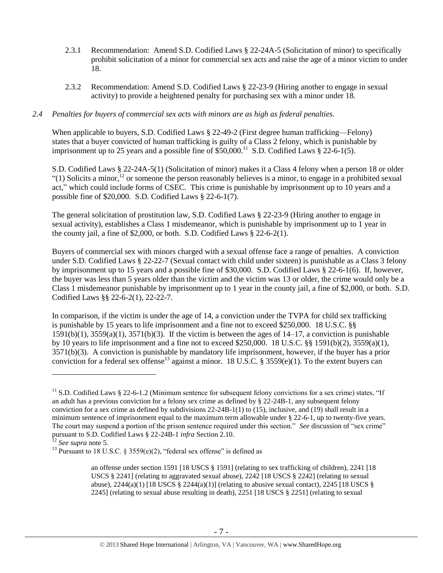- 2.3.1 Recommendation: Amend S.D. Codified Laws § 22-24A-5 (Solicitation of minor) to specifically prohibit solicitation of a minor for commercial sex acts and raise the age of a minor victim to under 18.
- 2.3.2 Recommendation: Amend S.D. Codified Laws § 22-23-9 (Hiring another to engage in sexual activity) to provide a heightened penalty for purchasing sex with a minor under 18.

## *2.4 Penalties for buyers of commercial sex acts with minors are as high as federal penalties.*

When applicable to buyers, S.D. Codified Laws § 22-49-2 (First degree human trafficking—Felony) states that a buyer convicted of human trafficking is guilty of a Class 2 felony, which is punishable by imprisonment up to 25 years and a possible fine of  $$50,000$ .<sup>11</sup> S.D. Codified Laws  $$22-6-1(5)$ .

S.D. Codified Laws § 22-24A-5(1) (Solicitation of minor) makes it a Class 4 felony when a person 18 or older "(1) Solicits a minor,<sup>12</sup> or someone the person reasonably believes is a minor, to engage in a prohibited sexual act," which could include forms of CSEC. This crime is punishable by imprisonment up to 10 years and a possible fine of \$20,000. S.D. Codified Laws § 22-6-1(7).

The general solicitation of prostitution law, S.D. Codified Laws § 22-23-9 (Hiring another to engage in sexual activity), establishes a Class 1 misdemeanor, which is punishable by imprisonment up to 1 year in the county jail, a fine of \$2,000, or both. S.D. Codified Laws § 22-6-2(1).

Buyers of commercial sex with minors charged with a sexual offense face a range of penalties. A conviction under S.D. Codified Laws § 22-22-7 (Sexual contact with child under sixteen) is punishable as a Class 3 felony by imprisonment up to 15 years and a possible fine of \$30,000. S.D. Codified Laws § 22-6-1(6). If, however, the buyer was less than 5 years older than the victim and the victim was 13 or older, the crime would only be a Class 1 misdemeanor punishable by imprisonment up to 1 year in the county jail, a fine of \$2,000, or both. S.D. Codified Laws §§ 22-6-2(1), 22-22-7.

In comparison, if the victim is under the age of 14, a conviction under the TVPA for child sex trafficking is punishable by 15 years to life imprisonment and a fine not to exceed \$250,000. 18 U.S.C. §§  $1591(b)(1)$ ,  $3559(a)(1)$ ,  $3571(b)(3)$ . If the victim is between the ages of  $14-17$ , a conviction is punishable by 10 years to life imprisonment and a fine not to exceed \$250,000. 18 U.S.C. §§ 1591(b)(2), 3559(a)(1), 3571(b)(3). A conviction is punishable by mandatory life imprisonment, however, if the buyer has a prior conviction for a federal sex offense<sup>13</sup> against a minor. 18 U.S.C. § 3559(e)(1). To the extent buyers can

<span id="page-6-0"></span> $11$  S.D. Codified Laws § 22-6-1.2 (Minimum sentence for subsequent felony convictions for a sex crime) states, "If an adult has a previous conviction for a felony sex crime as defined by § 22-24B-1, any subsequent felony conviction for a sex crime as defined by subdivisions 22-24B-1(1) to (15), inclusive, and (19) shall result in a minimum sentence of imprisonment equal to the maximum term allowable under § 22-6-1, up to twenty-five years. The court may suspend a portion of the prison sentence required under this section." *See* discussion of "sex crime" pursuant to S.D. Codified Laws § 22-24B-1 *infra* Section 2.10.

<sup>12</sup> *See supra* note [5.](#page-2-0)

<sup>&</sup>lt;sup>13</sup> Pursuant to 18 U.S.C. § 3559(e)(2), "federal sex offense" is defined as

an offense under section 1591 [18 USCS § 1591] (relating to sex trafficking of children), 2241 [18 USCS § 2241] (relating to aggravated sexual abuse), 2242 [18 USCS § 2242] (relating to sexual abuse),  $2244(a)(1)$  [18 USCS §  $2244(a)(1)$ ] (relating to abusive sexual contact),  $2245$  [18 USCS § 2245] (relating to sexual abuse resulting in death), 2251 [18 USCS § 2251] (relating to sexual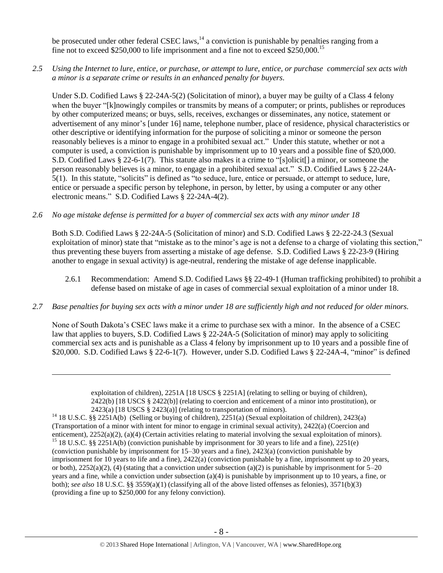be prosecuted under other federal CSEC laws,  $14$  a conviction is punishable by penalties ranging from a fine not to exceed \$250,000 to life imprisonment and a fine not to exceed \$250,000.<sup>15</sup>

*2.5 Using the Internet to lure, entice, or purchase, or attempt to lure, entice, or purchase commercial sex acts with a minor is a separate crime or results in an enhanced penalty for buyers.*

Under S.D. Codified Laws § 22-24A-5(2) (Solicitation of minor), a buyer may be guilty of a Class 4 felony when the buyer "[k]nowingly compiles or transmits by means of a computer; or prints, publishes or reproduces by other computerized means; or buys, sells, receives, exchanges or disseminates, any notice, statement or advertisement of any minor's [under 16] name, telephone number, place of residence, physical characteristics or other descriptive or identifying information for the purpose of soliciting a minor or someone the person reasonably believes is a minor to engage in a prohibited sexual act." Under this statute, whether or not a computer is used, a conviction is punishable by imprisonment up to 10 years and a possible fine of \$20,000. S.D. Codified Laws § 22-6-1(7). This statute also makes it a crime to "[s]olicit[] a minor, or someone the person reasonably believes is a minor, to engage in a prohibited sexual act." S.D. Codified Laws § 22-24A-5(1). In this statute, "solicits" is defined as "to seduce, lure, entice or persuade, or attempt to seduce, lure, entice or persuade a specific person by telephone, in person, by letter, by using a computer or any other electronic means." S.D. Codified Laws § 22-24A-4(2).

#### *2.6 No age mistake defense is permitted for a buyer of commercial sex acts with any minor under 18*

Both S.D. Codified Laws § 22-24A-5 (Solicitation of minor) and S.D. Codified Laws § 22-22-24.3 (Sexual exploitation of minor) state that "mistake as to the minor's age is not a defense to a charge of violating this section," thus preventing these buyers from asserting a mistake of age defense. S.D. Codified Laws § 22-23-9 (Hiring another to engage in sexual activity) is age-neutral, rendering the mistake of age defense inapplicable.

- 2.6.1 Recommendation: Amend S.D. Codified Laws §§ 22-49-1 (Human trafficking prohibited) to prohibit a defense based on mistake of age in cases of commercial sexual exploitation of a minor under 18.
- *2.7 Base penalties for buying sex acts with a minor under 18 are sufficiently high and not reduced for older minors.*

None of South Dakota's CSEC laws make it a crime to purchase sex with a minor. In the absence of a CSEC law that applies to buyers, S.D. Codified Laws § 22-24A-5 (Solicitation of minor) may apply to soliciting commercial sex acts and is punishable as a Class 4 felony by imprisonment up to 10 years and a possible fine of \$20,000. S.D. Codified Laws § 22-6-1(7). However, under S.D. Codified Laws § 22-24A-4, "minor" is defined

exploitation of children), 2251A [18 USCS § 2251A] (relating to selling or buying of children), 2422(b) [18 USCS § 2422(b)] (relating to coercion and enticement of a minor into prostitution), or 2423(a) [18 USCS § 2423(a)] (relating to transportation of minors).

<sup>&</sup>lt;sup>14</sup> 18 U.S.C. §§ 2251A(b) (Selling or buying of children), 2251(a) (Sexual exploitation of children), 2423(a) (Transportation of a minor with intent for minor to engage in criminal sexual activity), 2422(a) (Coercion and enticement), 2252(a)(2), (a)(4) (Certain activities relating to material involving the sexual exploitation of minors). <sup>15</sup> 18 U.S.C. §§ 2251A(b) (conviction punishable by imprisonment for 30 years to life and a fine), 2251(e)

<sup>(</sup>conviction punishable by imprisonment for 15–30 years and a fine), 2423(a) (conviction punishable by imprisonment for 10 years to life and a fine), 2422(a) (conviction punishable by a fine, imprisonment up to 20 years, or both),  $2252(a)(2)$ , (4) (stating that a conviction under subsection (a)(2) is punishable by imprisonment for  $5-20$ years and a fine, while a conviction under subsection (a)(4) is punishable by imprisonment up to 10 years, a fine, or both); *see also* 18 U.S.C. §§ 3559(a)(1) (classifying all of the above listed offenses as felonies), 3571(b)(3) (providing a fine up to \$250,000 for any felony conviction).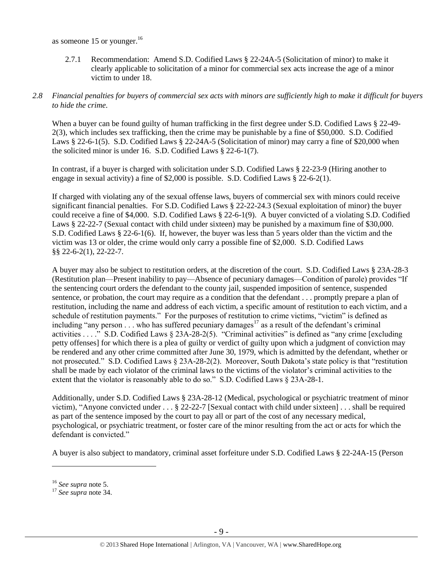as someone 15 or younger. $16$ 

2.7.1 Recommendation: Amend S.D. Codified Laws § 22-24A-5 (Solicitation of minor) to make it clearly applicable to solicitation of a minor for commercial sex acts increase the age of a minor victim to under 18.

## *2.8 Financial penalties for buyers of commercial sex acts with minors are sufficiently high to make it difficult for buyers to hide the crime.*

When a buyer can be found guilty of human trafficking in the first degree under S.D. Codified Laws § 22-49-2(3), which includes sex trafficking, then the crime may be punishable by a fine of \$50,000. S.D. Codified Laws § 22-6-1(5). S.D. Codified Laws § 22-24A-5 (Solicitation of minor) may carry a fine of \$20,000 when the solicited minor is under 16. S.D. Codified Laws § 22-6-1(7).

In contrast, if a buyer is charged with solicitation under S.D. Codified Laws § 22-23-9 (Hiring another to engage in sexual activity) a fine of \$2,000 is possible. S.D. Codified Laws  $\S$  22-6-2(1).

If charged with violating any of the sexual offense laws, buyers of commercial sex with minors could receive significant financial penalties. For S.D. Codified Laws § 22-22-24.3 (Sexual exploitation of minor) the buyer could receive a fine of \$4,000. S.D. Codified Laws § 22-6-1(9). A buyer convicted of a violating S.D. Codified Laws § 22-22-7 (Sexual contact with child under sixteen) may be punished by a maximum fine of \$30,000. S.D. Codified Laws § 22-6-1(6). If, however, the buyer was less than 5 years older than the victim and the victim was 13 or older, the crime would only carry a possible fine of \$2,000. S.D. Codified Laws §§ 22-6-2(1), 22-22-7.

A buyer may also be subject to restitution orders, at the discretion of the court. S.D. Codified Laws § 23A-28-3 (Restitution plan—Present inability to pay—Absence of pecuniary damages—Condition of parole) provides "If the sentencing court orders the defendant to the county jail, suspended imposition of sentence, suspended sentence, or probation, the court may require as a condition that the defendant . . . promptly prepare a plan of restitution, including the name and address of each victim, a specific amount of restitution to each victim, and a schedule of restitution payments." For the purposes of restitution to crime victims, "victim" is defined as including "any person  $\ldots$  who has suffered pecuniary damages<sup>17</sup> as a result of the defendant's criminal activities . . . ." S.D. Codified Laws § 23A-28-2(5). "Criminal activities" is defined as "any crime [excluding petty offenses] for which there is a plea of guilty or verdict of guilty upon which a judgment of conviction may be rendered and any other crime committed after June 30, 1979, which is admitted by the defendant, whether or not prosecuted." S.D. Codified Laws § 23A-28-2(2). Moreover, South Dakota's state policy is that "restitution shall be made by each violator of the criminal laws to the victims of the violator's criminal activities to the extent that the violator is reasonably able to do so." S.D. Codified Laws § 23A-28-1.

Additionally, under S.D. Codified Laws § 23A-28-12 (Medical, psychological or psychiatric treatment of minor victim), "Anyone convicted under . . . § 22-22-7 [Sexual contact with child under sixteen] . . . shall be required as part of the sentence imposed by the court to pay all or part of the cost of any necessary medical, psychological, or psychiatric treatment, or foster care of the minor resulting from the act or acts for which the defendant is convicted."

A buyer is also subject to mandatory, criminal asset forfeiture under S.D. Codified Laws § 22-24A-15 (Person

<sup>16</sup> *See supra* note [5.](#page-2-0)

<sup>17</sup> *See supra* note [34.](#page-21-0)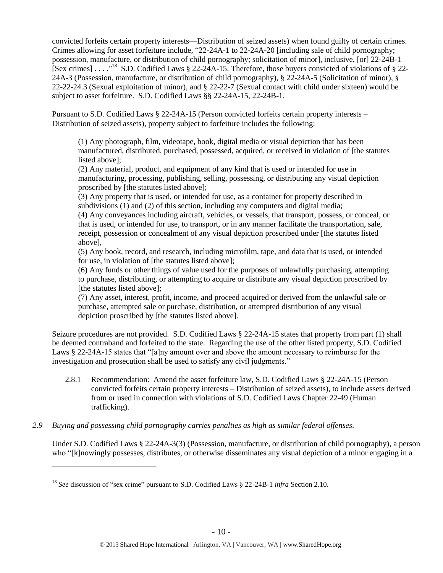<span id="page-9-0"></span>convicted forfeits certain property interests—Distribution of seized assets) when found guilty of certain crimes. Crimes allowing for asset forfeiture include, "22-24A-1 to 22-24A-20 [including sale of child pornography; possession, manufacture, or distribution of child pornography; solicitation of minor], inclusive, [or] 22-24B-1 [Sex crimes] . . . .<sup>18</sup> S.D. Codified Laws § 22-24A-15. Therefore, those buyers convicted of violations of § 22-24A-3 (Possession, manufacture, or distribution of child pornography), § 22-24A-5 (Solicitation of minor), § 22-22-24.3 (Sexual exploitation of minor), and § 22-22-7 (Sexual contact with child under sixteen) would be subject to asset forfeiture. S.D. Codified Laws §§ 22-24A-15, 22-24B-1.

Pursuant to S.D. Codified Laws § 22-24A-15 (Person convicted forfeits certain property interests – Distribution of seized assets), property subject to forfeiture includes the following:

(1) Any photograph, film, videotape, book, digital media or visual depiction that has been manufactured, distributed, purchased, possessed, acquired, or received in violation of [the statutes listed above];

(2) Any material, product, and equipment of any kind that is used or intended for use in manufacturing, processing, publishing, selling, possessing, or distributing any visual depiction proscribed by [the statutes listed above];

(3) Any property that is used, or intended for use, as a container for property described in subdivisions (1) and (2) of this section, including any computers and digital media;

(4) Any conveyances including aircraft, vehicles, or vessels, that transport, possess, or conceal, or that is used, or intended for use, to transport, or in any manner facilitate the transportation, sale, receipt, possession or concealment of any visual depiction proscribed under [the statutes listed above],

(5) Any book, record, and research, including microfilm, tape, and data that is used, or intended for use, in violation of [the statutes listed above];

(6) Any funds or other things of value used for the purposes of unlawfully purchasing, attempting to purchase, distributing, or attempting to acquire or distribute any visual depiction proscribed by [the statutes listed above];

(7) Any asset, interest, profit, income, and proceed acquired or derived from the unlawful sale or purchase, attempted sale or purchase, distribution, or attempted distribution of any visual depiction proscribed by [the statutes listed above].

Seizure procedures are not provided. S.D. Codified Laws § 22-24A-15 states that property from part (1) shall be deemed contraband and forfeited to the state. Regarding the use of the other listed property, S.D. Codified Laws § 22-24A-15 states that "[a]ny amount over and above the amount necessary to reimburse for the investigation and prosecution shall be used to satisfy any civil judgments."

- 2.8.1 Recommendation: Amend the asset forfeiture law, S.D. Codified Laws § 22-24A-15 (Person convicted forfeits certain property interests – Distribution of seized assets), to include assets derived from or used in connection with violations of S.D. Codified Laws Chapter 22-49 (Human trafficking).
- *2.9 Buying and possessing child pornography carries penalties as high as similar federal offenses.*

Under S.D. Codified Laws § 22-24A-3(3) (Possession, manufacture, or distribution of child pornography), a person who "[k]nowingly possesses, distributes, or otherwise disseminates any visual depiction of a minor engaging in a

<sup>18</sup> *See* discussion of "sex crime" pursuant to S.D. Codified Laws § 22-24B-1 *infra* Section 2.10.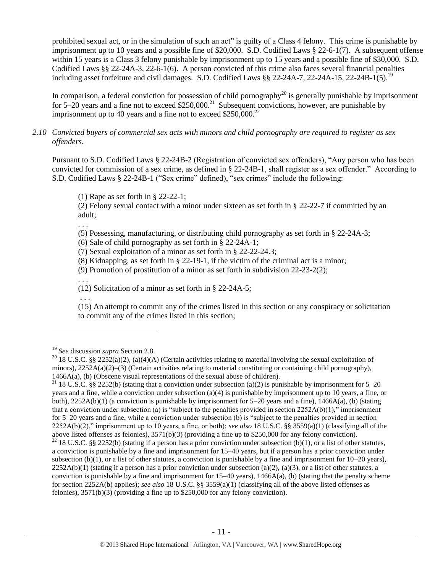prohibited sexual act, or in the simulation of such an act" is guilty of a Class 4 felony. This crime is punishable by imprisonment up to 10 years and a possible fine of \$20,000. S.D. Codified Laws § 22-6-1(7). A subsequent offense within 15 years is a Class 3 felony punishable by imprisonment up to 15 years and a possible fine of \$30,000. S.D. Codified Laws §§ 22-24A-3, 22-6-1(6). A person convicted of this crime also faces several financial penalties including asset forfeiture and civil damages. S.D. Codified Laws §§ 22-24A-7, 22-24A-15, 22-24B-1(5).<sup>19</sup>

In comparison, a federal conviction for possession of child pornography<sup>20</sup> is generally punishable by imprisonment for 5–20 years and a fine not to exceed  $$250,000.<sup>21</sup>$  Subsequent convictions, however, are punishable by imprisonment up to 40 years and a fine not to exceed  $$250,000.<sup>22</sup>$ 

## *2.10 Convicted buyers of commercial sex acts with minors and child pornography are required to register as sex offenders*.

Pursuant to S.D. Codified Laws § 22-24B-2 (Registration of convicted sex offenders), "Any person who has been convicted for commission of a sex crime, as defined in § 22-24B-1, shall register as a sex offender." According to S.D. Codified Laws § 22-24B-1 ("Sex crime" defined), "sex crimes" include the following:

(1) Rape as set forth in § 22-22-1;

(2) Felony sexual contact with a minor under sixteen as set forth in § 22-22-7 if committed by an adult;

(5) Possessing, manufacturing, or distributing child pornography as set forth in § 22-24A-3;

(6) Sale of child pornography as set forth in § 22-24A-1;

(7) Sexual exploitation of a minor as set forth in § 22-22-24.3;

(8) Kidnapping, as set forth in § 22-19-1, if the victim of the criminal act is a minor;

(9) Promotion of prostitution of a minor as set forth in subdivision 22-23-2(2);

(12) Solicitation of a minor as set forth in § 22-24A-5;

. . .

 $\overline{a}$ 

. . .

. . .

(15) An attempt to commit any of the crimes listed in this section or any conspiracy or solicitation to commit any of the crimes listed in this section;

<sup>21</sup> 18 U.S.C. §§ 2252(b) (stating that a conviction under subsection (a)(2) is punishable by imprisonment for 5–20 years and a fine, while a conviction under subsection (a)(4) is punishable by imprisonment up to 10 years, a fine, or both),  $2252A(b)(1)$  (a conviction is punishable by imprisonment for  $5-20$  years and a fine),  $1466A(a)$ , (b) (stating that a conviction under subsection (a) is "subject to the penalties provided in section  $2252A(b)(1)$ ," imprisonment for 5–20 years and a fine, while a conviction under subsection (b) is "subject to the penalties provided in section 2252A(b)(2)," imprisonment up to 10 years, a fine, or both); *see also* 18 U.S.C. §§ 3559(a)(1) (classifying all of the above listed offenses as felonies), 3571(b)(3) (providing a fine up to \$250,000 for any felony conviction).

<sup>22</sup> 18 U.S.C. §§ 2252(b) (stating if a person has a prior conviction under subsection (b)(1), or a list of other statutes, a conviction is punishable by a fine and imprisonment for 15–40 years, but if a person has a prior conviction under subsection (b)(1), or a list of other statutes, a conviction is punishable by a fine and imprisonment for  $10-20$  years),  $2252A(b)(1)$  (stating if a person has a prior conviction under subsection (a)(2), (a)(3), or a list of other statutes, a conviction is punishable by a fine and imprisonment for  $15-40$  years),  $1466A(a)$ , (b) (stating that the penalty scheme for section 2252A(b) applies); *see also* 18 U.S.C. §§ 3559(a)(1) (classifying all of the above listed offenses as felonies), 3571(b)(3) (providing a fine up to \$250,000 for any felony conviction).

<sup>19</sup> *See* discussion *supra* Section 2.8.

<sup>&</sup>lt;sup>20</sup> 18 U.S.C. §§ 2252(a)(2), (a)(4)(A) (Certain activities relating to material involving the sexual exploitation of minors),  $2252A(a)(2)$ –(3) (Certain activities relating to material constituting or containing child pornography), 1466A(a), (b) (Obscene visual representations of the sexual abuse of children).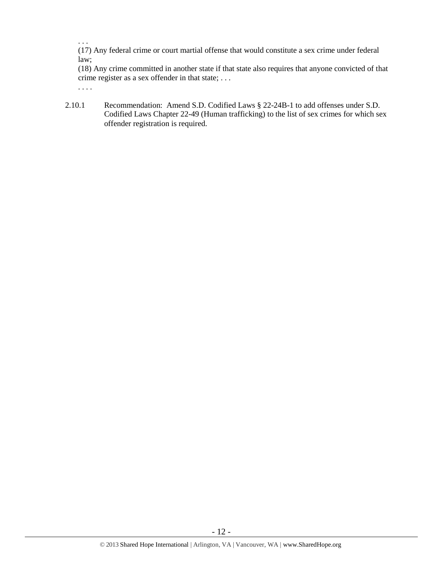. . .

(17) Any federal crime or court martial offense that would constitute a sex crime under federal law;

(18) Any crime committed in another state if that state also requires that anyone convicted of that crime register as a sex offender in that state; . . . . . . .

2.10.1 Recommendation: Amend S.D. Codified Laws § 22-24B-1 to add offenses under S.D. Codified Laws Chapter 22-49 (Human trafficking) to the list of sex crimes for which sex offender registration is required.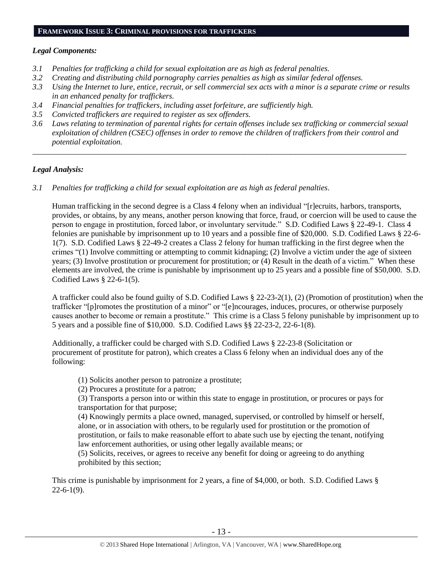#### **FRAMEWORK ISSUE 3: CRIMINAL PROVISIONS FOR TRAFFICKERS**

#### *Legal Components:*

- *3.1 Penalties for trafficking a child for sexual exploitation are as high as federal penalties.*
- *3.2 Creating and distributing child pornography carries penalties as high as similar federal offenses.*
- *3.3 Using the Internet to lure, entice, recruit, or sell commercial sex acts with a minor is a separate crime or results in an enhanced penalty for traffickers.*
- *3.4 Financial penalties for traffickers, including asset forfeiture, are sufficiently high.*
- *3.5 Convicted traffickers are required to register as sex offenders.*
- *3.6 Laws relating to termination of parental rights for certain offenses include sex trafficking or commercial sexual exploitation of children (CSEC) offenses in order to remove the children of traffickers from their control and potential exploitation.*

*\_\_\_\_\_\_\_\_\_\_\_\_\_\_\_\_\_\_\_\_\_\_\_\_\_\_\_\_\_\_\_\_\_\_\_\_\_\_\_\_\_\_\_\_\_\_\_\_\_\_\_\_\_\_\_\_\_\_\_\_\_\_\_\_\_\_\_\_\_\_\_\_\_\_\_\_\_\_\_\_\_\_\_\_\_\_\_\_\_\_\_\_\_\_*

## *Legal Analysis:*

*3.1 Penalties for trafficking a child for sexual exploitation are as high as federal penalties.* 

Human trafficking in the second degree is a Class 4 felony when an individual "[r]ecruits, harbors, transports, provides, or obtains, by any means, another person knowing that force, fraud, or coercion will be used to cause the person to engage in prostitution, forced labor, or involuntary servitude." S.D. Codified Laws § 22-49-1. Class 4 felonies are punishable by imprisonment up to 10 years and a possible fine of \$20,000. S.D. Codified Laws § 22-6- 1(7). S.D. Codified Laws § 22-49-2 creates a Class 2 felony for human trafficking in the first degree when the crimes "(1) Involve committing or attempting to commit kidnaping; (2) Involve a victim under the age of sixteen years; (3) Involve prostitution or procurement for prostitution; or (4) Result in the death of a victim." When these elements are involved, the crime is punishable by imprisonment up to 25 years and a possible fine of \$50,000. S.D. Codified Laws § 22-6-1(5).

A trafficker could also be found guilty of S.D. Codified Laws § 22-23-2(1), (2) (Promotion of prostitution) when the trafficker "[p]romotes the prostitution of a minor" or "[e]ncourages, induces, procures, or otherwise purposely causes another to become or remain a prostitute." This crime is a Class 5 felony punishable by imprisonment up to 5 years and a possible fine of \$10,000. S.D. Codified Laws §§ 22-23-2, 22-6-1(8).

Additionally, a trafficker could be charged with S.D. Codified Laws § 22-23-8 (Solicitation or procurement of prostitute for patron), which creates a Class 6 felony when an individual does any of the following:

(1) Solicits another person to patronize a prostitute;

(2) Procures a prostitute for a patron;

(3) Transports a person into or within this state to engage in prostitution, or procures or pays for transportation for that purpose;

(4) Knowingly permits a place owned, managed, supervised, or controlled by himself or herself, alone, or in association with others, to be regularly used for prostitution or the promotion of prostitution, or fails to make reasonable effort to abate such use by ejecting the tenant, notifying law enforcement authorities, or using other legally available means; or

(5) Solicits, receives, or agrees to receive any benefit for doing or agreeing to do anything prohibited by this section;

This crime is punishable by imprisonment for 2 years, a fine of \$4,000, or both. S.D. Codified Laws §  $22-6-1(9)$ .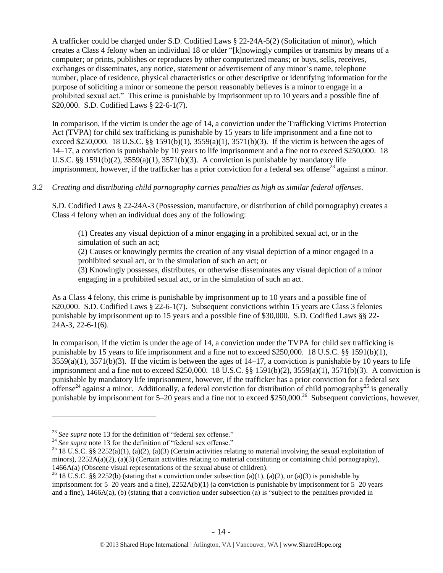A trafficker could be charged under S.D. Codified Laws § 22-24A-5(2) (Solicitation of minor), which creates a Class 4 felony when an individual 18 or older "[k]nowingly compiles or transmits by means of a computer; or prints, publishes or reproduces by other computerized means; or buys, sells, receives, exchanges or disseminates, any notice, statement or advertisement of any minor's name, telephone number, place of residence, physical characteristics or other descriptive or identifying information for the purpose of soliciting a minor or someone the person reasonably believes is a minor to engage in a prohibited sexual act." This crime is punishable by imprisonment up to 10 years and a possible fine of \$20,000. S.D. Codified Laws § 22-6-1(7).

In comparison, if the victim is under the age of 14, a conviction under the Trafficking Victims Protection Act (TVPA) for child sex trafficking is punishable by 15 years to life imprisonment and a fine not to exceed \$250,000. 18 U.S.C. §§ 1591(b)(1),  $3559(a)(1)$ ,  $3571(b)(3)$ . If the victim is between the ages of 14–17, a conviction is punishable by 10 years to life imprisonment and a fine not to exceed \$250,000. 18 U.S.C. §§ 1591(b)(2),  $3559(a)(1)$ ,  $3571(b)(3)$ . A conviction is punishable by mandatory life imprisonment, however, if the trafficker has a prior conviction for a federal sex offense<sup>23</sup> against a minor.

## *3.2 Creating and distributing child pornography carries penalties as high as similar federal offenses*.

S.D. Codified Laws § 22-24A-3 (Possession, manufacture, or distribution of child pornography) creates a Class 4 felony when an individual does any of the following:

(1) Creates any visual depiction of a minor engaging in a prohibited sexual act, or in the simulation of such an act;

(2) Causes or knowingly permits the creation of any visual depiction of a minor engaged in a prohibited sexual act, or in the simulation of such an act; or

(3) Knowingly possesses, distributes, or otherwise disseminates any visual depiction of a minor engaging in a prohibited sexual act, or in the simulation of such an act.

As a Class 4 felony, this crime is punishable by imprisonment up to 10 years and a possible fine of \$20,000. S.D. Codified Laws § 22-6-1(7). Subsequent convictions within 15 years are Class 3 felonies punishable by imprisonment up to 15 years and a possible fine of \$30,000. S.D. Codified Laws §§ 22- 24A-3, 22-6-1(6).

In comparison, if the victim is under the age of 14, a conviction under the TVPA for child sex trafficking is punishable by 15 years to life imprisonment and a fine not to exceed \$250,000. 18 U.S.C. §§ 1591(b)(1),  $3559(a)(1)$ ,  $3571(b)(3)$ . If the victim is between the ages of  $14-17$ , a conviction is punishable by 10 years to life imprisonment and a fine not to exceed \$250,000. 18 U.S.C.  $\S$  1591(b)(2), 3559(a)(1), 3571(b)(3). A conviction is punishable by mandatory life imprisonment, however, if the trafficker has a prior conviction for a federal sex offense<sup>24</sup> against a minor. Additionally, a federal conviction for distribution of child pornography<sup>25</sup> is generally punishable by imprisonment for  $5-20$  years and a fine not to exceed \$250,000.<sup>26</sup> Subsequent convictions, however,

<sup>&</sup>lt;sup>23</sup> See supra note [13](#page-6-0) for the definition of "federal sex offense."

<sup>&</sup>lt;sup>24</sup> See supra note [13](#page-6-0) for the definition of "federal sex offense."

<sup>&</sup>lt;sup>25</sup> 18 U.S.C. §§ 2252(a)(1), (a)(2), (a)(3) (Certain activities relating to material involving the sexual exploitation of minors),  $2252A(a)(2)$ , (a)(3) (Certain activities relating to material constituting or containing child pornography), 1466A(a) (Obscene visual representations of the sexual abuse of children).

<sup>&</sup>lt;sup>26</sup> 18 U.S.C. §§ 2252(b) (stating that a conviction under subsection (a)(1), (a)(2), or (a)(3) is punishable by imprisonment for  $5-20$  years and a fine),  $2252A(b)(1)$  (a conviction is punishable by imprisonment for  $5-20$  years and a fine), 1466A(a), (b) (stating that a conviction under subsection (a) is "subject to the penalties provided in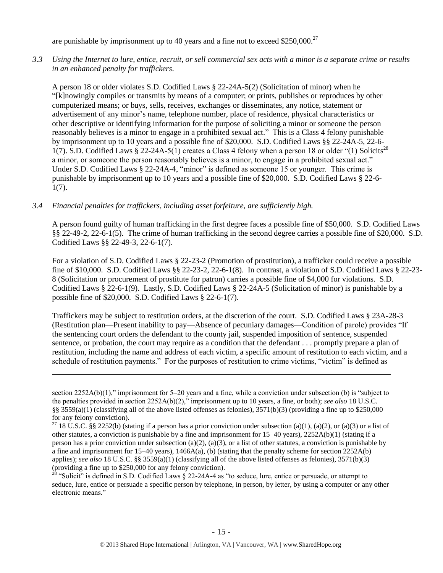are punishable by imprisonment up to 40 years and a fine not to exceed \$250,000.<sup>27</sup>

*3.3 Using the Internet to lure, entice, recruit, or sell commercial sex acts with a minor is a separate crime or results in an enhanced penalty for traffickers.*

A person 18 or older violates S.D. Codified Laws § 22-24A-5(2) (Solicitation of minor) when he "[k]nowingly compiles or transmits by means of a computer; or prints, publishes or reproduces by other computerized means; or buys, sells, receives, exchanges or disseminates, any notice, statement or advertisement of any minor's name, telephone number, place of residence, physical characteristics or other descriptive or identifying information for the purpose of soliciting a minor or someone the person reasonably believes is a minor to engage in a prohibited sexual act." This is a Class 4 felony punishable by imprisonment up to 10 years and a possible fine of \$20,000. S.D. Codified Laws §§ 22-24A-5, 22-6- 1(7). S.D. Codified Laws § 22-24A-5(1) creates a Class 4 felony when a person 18 or older "(1) Solicits<sup>28</sup> a minor, or someone the person reasonably believes is a minor, to engage in a prohibited sexual act." Under S.D. Codified Laws § 22-24A-4, "minor" is defined as someone 15 or younger. This crime is punishable by imprisonment up to 10 years and a possible fine of \$20,000. S.D. Codified Laws § 22-6- 1(7).

#### *3.4 Financial penalties for traffickers, including asset forfeiture, are sufficiently high.*

 $\overline{a}$ 

A person found guilty of human trafficking in the first degree faces a possible fine of \$50,000. S.D. Codified Laws §§ 22-49-2, 22-6-1(5). The crime of human trafficking in the second degree carries a possible fine of \$20,000. S.D. Codified Laws §§ 22-49-3, 22-6-1(7).

For a violation of S.D. Codified Laws § 22-23-2 (Promotion of prostitution), a trafficker could receive a possible fine of \$10,000. S.D. Codified Laws §§ 22-23-2, 22-6-1(8). In contrast, a violation of S.D. Codified Laws § 22-23- 8 (Solicitation or procurement of prostitute for patron) carries a possible fine of \$4,000 for violations. S.D. Codified Laws § 22-6-1(9). Lastly, S.D. Codified Laws § 22-24A-5 (Solicitation of minor) is punishable by a possible fine of \$20,000. S.D. Codified Laws § 22-6-1(7).

Traffickers may be subject to restitution orders, at the discretion of the court. S.D. Codified Laws § 23A-28-3 (Restitution plan—Present inability to pay—Absence of pecuniary damages—Condition of parole) provides "If the sentencing court orders the defendant to the county jail, suspended imposition of sentence, suspended sentence, or probation, the court may require as a condition that the defendant . . . promptly prepare a plan of restitution, including the name and address of each victim, a specific amount of restitution to each victim, and a schedule of restitution payments." For the purposes of restitution to crime victims, "victim" is defined as

<sup>28</sup> "Solicit" is defined in S.D. Codified Laws  $\S$  22-24A-4 as "to seduce, lure, entice or persuade, or attempt to seduce, lure, entice or persuade a specific person by telephone, in person, by letter, by using a computer or any other electronic means."

section 2252A(b)(1)," imprisonment for 5–20 years and a fine, while a conviction under subsection (b) is "subject to the penalties provided in section 2252A(b)(2)," imprisonment up to 10 years, a fine, or both); *see also* 18 U.S.C. §§ 3559(a)(1) (classifying all of the above listed offenses as felonies), 3571(b)(3) (providing a fine up to \$250,000 for any felony conviction).

<sup>&</sup>lt;sup>27</sup> 18 U.S.C. §§ 2252(b) (stating if a person has a prior conviction under subsection (a)(1), (a)(2), or (a)(3) or a list of other statutes, a conviction is punishable by a fine and imprisonment for 15–40 years), 2252A(b)(1) (stating if a person has a prior conviction under subsection (a)(2), (a)(3), or a list of other statutes, a conviction is punishable by a fine and imprisonment for  $15-40$  years),  $1466A(a)$ , (b) (stating that the penalty scheme for section  $2252A(b)$ applies); *see also* 18 U.S.C. §§ 3559(a)(1) (classifying all of the above listed offenses as felonies), 3571(b)(3) (providing a fine up to \$250,000 for any felony conviction).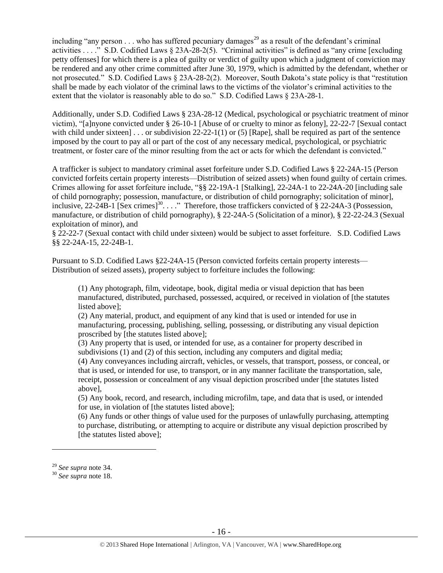including "any person  $\dots$  who has suffered pecuniary damages<sup>29</sup> as a result of the defendant's criminal activities . . . ." S.D. Codified Laws § 23A-28-2(5). "Criminal activities" is defined as "any crime [excluding petty offenses] for which there is a plea of guilty or verdict of guilty upon which a judgment of conviction may be rendered and any other crime committed after June 30, 1979, which is admitted by the defendant, whether or not prosecuted." S.D. Codified Laws § 23A-28-2(2). Moreover, South Dakota's state policy is that "restitution shall be made by each violator of the criminal laws to the victims of the violator's criminal activities to the extent that the violator is reasonably able to do so." S.D. Codified Laws § 23A-28-1.

Additionally, under S.D. Codified Laws § 23A-28-12 (Medical, psychological or psychiatric treatment of minor victim), "[a]nyone convicted under § 26-10-1 [Abuse of or cruelty to minor as felony], 22-22-7 [Sexual contact with child under sixteen] . . . or subdivision  $22-22-1(1)$  or (5) [Rape], shall be required as part of the sentence imposed by the court to pay all or part of the cost of any necessary medical, psychological, or psychiatric treatment, or foster care of the minor resulting from the act or acts for which the defendant is convicted."

A trafficker is subject to mandatory criminal asset forfeiture under S.D. Codified Laws § 22-24A-15 (Person convicted forfeits certain property interests—Distribution of seized assets) when found guilty of certain crimes. Crimes allowing for asset forfeiture include, "§§ 22-19A-1 [Stalking], 22-24A-1 to 22-24A-20 [including sale of child pornography; possession, manufacture, or distribution of child pornography; solicitation of minor], inclusive, 22-24B-1 [Sex crimes]<sup>30</sup>...." Therefore, those traffickers convicted of § 22-24A-3 (Possession, manufacture, or distribution of child pornography), § 22-24A-5 (Solicitation of a minor), § 22-22-24.3 (Sexual exploitation of minor), and

§ 22-22-7 (Sexual contact with child under sixteen) would be subject to asset forfeiture. S.D. Codified Laws §§ 22-24A-15, 22-24B-1.

Pursuant to S.D. Codified Laws §22-24A-15 (Person convicted forfeits certain property interests— Distribution of seized assets), property subject to forfeiture includes the following:

(1) Any photograph, film, videotape, book, digital media or visual depiction that has been manufactured, distributed, purchased, possessed, acquired, or received in violation of [the statutes listed above];

(2) Any material, product, and equipment of any kind that is used or intended for use in manufacturing, processing, publishing, selling, possessing, or distributing any visual depiction proscribed by [the statutes listed above];

(3) Any property that is used, or intended for use, as a container for property described in subdivisions (1) and (2) of this section, including any computers and digital media;

(4) Any conveyances including aircraft, vehicles, or vessels, that transport, possess, or conceal, or that is used, or intended for use, to transport, or in any manner facilitate the transportation, sale, receipt, possession or concealment of any visual depiction proscribed under [the statutes listed above],

(5) Any book, record, and research, including microfilm, tape, and data that is used, or intended for use, in violation of [the statutes listed above]:

(6) Any funds or other things of value used for the purposes of unlawfully purchasing, attempting to purchase, distributing, or attempting to acquire or distribute any visual depiction proscribed by [the statutes listed above];

<sup>29</sup> *See supra* note [34.](#page-21-0)

<sup>30</sup> *See supra* note [18.](#page-9-0)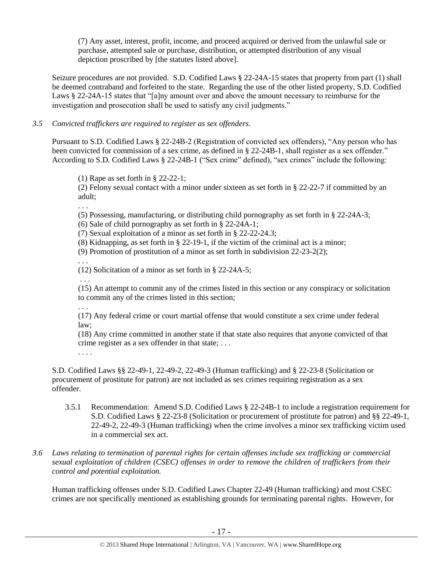(7) Any asset, interest, profit, income, and proceed acquired or derived from the unlawful sale or purchase, attempted sale or purchase, distribution, or attempted distribution of any visual depiction proscribed by [the statutes listed above].

Seizure procedures are not provided. S.D. Codified Laws § 22-24A-15 states that property from part (1) shall be deemed contraband and forfeited to the state. Regarding the use of the other listed property, S.D. Codified Laws § 22-24A-15 states that "[a]ny amount over and above the amount necessary to reimburse for the investigation and prosecution shall be used to satisfy any civil judgments."

## *3.5 Convicted traffickers are required to register as sex offenders.*

Pursuant to S.D. Codified Laws § 22-24B-2 (Registration of convicted sex offenders), "Any person who has been convicted for commission of a sex crime, as defined in § 22-24B-1, shall register as a sex offender." According to S.D. Codified Laws § 22-24B-1 ("Sex crime" defined), "sex crimes" include the following:

(1) Rape as set forth in § 22-22-1;

(2) Felony sexual contact with a minor under sixteen as set forth in § 22-22-7 if committed by an adult;

. . .

(5) Possessing, manufacturing, or distributing child pornography as set forth in § 22-24A-3;

(6) Sale of child pornography as set forth in § 22-24A-1;

(7) Sexual exploitation of a minor as set forth in § 22-22-24.3;

(8) Kidnapping, as set forth in § 22-19-1, if the victim of the criminal act is a minor;

(9) Promotion of prostitution of a minor as set forth in subdivision 22-23-2(2);

. . . (12) Solicitation of a minor as set forth in § 22-24A-5;

. . .

(15) An attempt to commit any of the crimes listed in this section or any conspiracy or solicitation to commit any of the crimes listed in this section;

. . . (17) Any federal crime or court martial offense that would constitute a sex crime under federal law;

(18) Any crime committed in another state if that state also requires that anyone convicted of that crime register as a sex offender in that state; . . .

. . . .

S.D. Codified Laws §§ 22-49-1, 22-49-2, 22-49-3 (Human trafficking) and § 22-23-8 (Solicitation or procurement of prostitute for patron) are not included as sex crimes requiring registration as a sex offender.

- 3.5.1 Recommendation: Amend S.D. Codified Laws § 22-24B-1 to include a registration requirement for S.D. Codified Laws § 22-23-8 (Solicitation or procurement of prostitute for patron) and §§ 22-49-1, 22-49-2, 22-49-3 (Human trafficking) when the crime involves a minor sex trafficking victim used in a commercial sex act.
- *3.6 Laws relating to termination of parental rights for certain offenses include sex trafficking or commercial sexual exploitation of children (CSEC) offenses in order to remove the children of traffickers from their control and potential exploitation.*

Human trafficking offenses under S.D. Codified Laws Chapter 22-49 (Human trafficking) and most CSEC crimes are not specifically mentioned as establishing grounds for terminating parental rights. However, for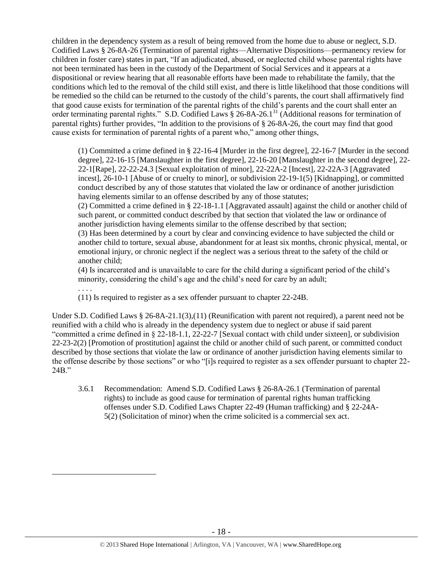children in the dependency system as a result of being removed from the home due to abuse or neglect, S.D. Codified Laws § 26-8A-26 (Termination of parental rights—Alternative Dispositions—permanency review for children in foster care) states in part, "If an adjudicated, abused, or neglected child whose parental rights have not been terminated has been in the custody of the Department of Social Services and it appears at a dispositional or review hearing that all reasonable efforts have been made to rehabilitate the family, that the conditions which led to the removal of the child still exist, and there is little likelihood that those conditions will be remedied so the child can be returned to the custody of the child's parents, the court shall affirmatively find that good cause exists for termination of the parental rights of the child's parents and the court shall enter an order terminating parental rights." S.D. Codified Laws § 26-8A-26.1<sup>31</sup> (Additional reasons for termination of parental rights) further provides, "In addition to the provisions of § 26-8A-26, the court may find that good cause exists for termination of parental rights of a parent who," among other things,

(1) Committed a crime defined in § 22-16-4 [Murder in the first degree], 22-16-7 [Murder in the second degree], 22-16-15 [Manslaughter in the first degree], 22-16-20 [Manslaughter in the second degree], 22- 22-1[Rape], 22-22-24.3 [Sexual exploitation of minor], 22-22A-2 [Incest], 22-22A-3 [Aggravated incest], 26-10-1 [Abuse of or cruelty to minor], or subdivision 22-19-1(5) [Kidnapping], or committed conduct described by any of those statutes that violated the law or ordinance of another jurisdiction having elements similar to an offense described by any of those statutes;

(2) Committed a crime defined in § 22-18-1.1 [Aggravated assault] against the child or another child of such parent, or committed conduct described by that section that violated the law or ordinance of another jurisdiction having elements similar to the offense described by that section;

(3) Has been determined by a court by clear and convincing evidence to have subjected the child or another child to torture, sexual abuse, abandonment for at least six months, chronic physical, mental, or emotional injury, or chronic neglect if the neglect was a serious threat to the safety of the child or another child;

(4) Is incarcerated and is unavailable to care for the child during a significant period of the child's minority, considering the child's age and the child's need for care by an adult;

. . . .

 $\overline{a}$ 

(11) Is required to register as a sex offender pursuant to chapter 22-24B.

Under S.D. Codified Laws § 26-8A-21.1(3),(11) (Reunification with parent not required), a parent need not be reunified with a child who is already in the dependency system due to neglect or abuse if said parent "committed a crime defined in § 22-18-1.1, 22-22-7 [Sexual contact with child under sixteen], or subdivision 22-23-2(2) [Promotion of prostitution] against the child or another child of such parent, or committed conduct described by those sections that violate the law or ordinance of another jurisdiction having elements similar to the offense describe by those sections" or who "[i]s required to register as a sex offender pursuant to chapter 22- 24B."

3.6.1 Recommendation: Amend S.D. Codified Laws § 26-8A-26.1 (Termination of parental rights) to include as good cause for termination of parental rights human trafficking offenses under S.D. Codified Laws Chapter 22-49 (Human trafficking) and § 22-24A-5(2) (Solicitation of minor) when the crime solicited is a commercial sex act.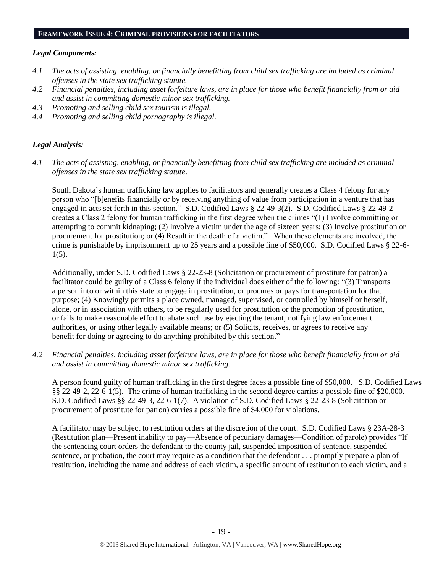#### **FRAMEWORK ISSUE 4: CRIMINAL PROVISIONS FOR FACILITATORS**

#### *Legal Components:*

- *4.1 The acts of assisting, enabling, or financially benefitting from child sex trafficking are included as criminal offenses in the state sex trafficking statute.*
- *4.2 Financial penalties, including asset forfeiture laws, are in place for those who benefit financially from or aid and assist in committing domestic minor sex trafficking.*

*\_\_\_\_\_\_\_\_\_\_\_\_\_\_\_\_\_\_\_\_\_\_\_\_\_\_\_\_\_\_\_\_\_\_\_\_\_\_\_\_\_\_\_\_\_\_\_\_\_\_\_\_\_\_\_\_\_\_\_\_\_\_\_\_\_\_\_\_\_\_\_\_\_\_\_\_\_\_\_\_\_\_\_\_\_\_\_\_\_\_\_\_\_\_*

- *4.3 Promoting and selling child sex tourism is illegal.*
- *4.4 Promoting and selling child pornography is illegal.*

#### *Legal Analysis:*

*4.1 The acts of assisting, enabling, or financially benefitting from child sex trafficking are included as criminal offenses in the state sex trafficking statute*.

South Dakota's human trafficking law applies to facilitators and generally creates a Class 4 felony for any person who "[b]enefits financially or by receiving anything of value from participation in a venture that has engaged in acts set forth in this section." S.D. Codified Laws § 22-49-3(2). S.D. Codified Laws § 22-49-2 creates a Class 2 felony for human trafficking in the first degree when the crimes "(1) Involve committing or attempting to commit kidnaping; (2) Involve a victim under the age of sixteen years; (3) Involve prostitution or procurement for prostitution; or (4) Result in the death of a victim." When these elements are involved, the crime is punishable by imprisonment up to 25 years and a possible fine of \$50,000. S.D. Codified Laws § 22-6- 1(5).

Additionally, under S.D. Codified Laws § 22-23-8 (Solicitation or procurement of prostitute for patron) a facilitator could be guilty of a Class 6 felony if the individual does either of the following: "(3) Transports a person into or within this state to engage in prostitution, or procures or pays for transportation for that purpose; (4) Knowingly permits a place owned, managed, supervised, or controlled by himself or herself, alone, or in association with others, to be regularly used for prostitution or the promotion of prostitution, or fails to make reasonable effort to abate such use by ejecting the tenant, notifying law enforcement authorities, or using other legally available means; or (5) Solicits, receives, or agrees to receive any benefit for doing or agreeing to do anything prohibited by this section."

*4.2 Financial penalties, including asset forfeiture laws, are in place for those who benefit financially from or aid and assist in committing domestic minor sex trafficking.*

A person found guilty of human trafficking in the first degree faces a possible fine of \$50,000. S.D. Codified Laws §§ 22-49-2, 22-6-1(5). The crime of human trafficking in the second degree carries a possible fine of \$20,000. S.D. Codified Laws §§ 22-49-3, 22-6-1(7). A violation of S.D. Codified Laws § 22-23-8 (Solicitation or procurement of prostitute for patron) carries a possible fine of \$4,000 for violations.

A facilitator may be subject to restitution orders at the discretion of the court. S.D. Codified Laws § 23A-28-3 (Restitution plan—Present inability to pay—Absence of pecuniary damages—Condition of parole) provides "If the sentencing court orders the defendant to the county jail, suspended imposition of sentence, suspended sentence, or probation, the court may require as a condition that the defendant . . . promptly prepare a plan of restitution, including the name and address of each victim, a specific amount of restitution to each victim, and a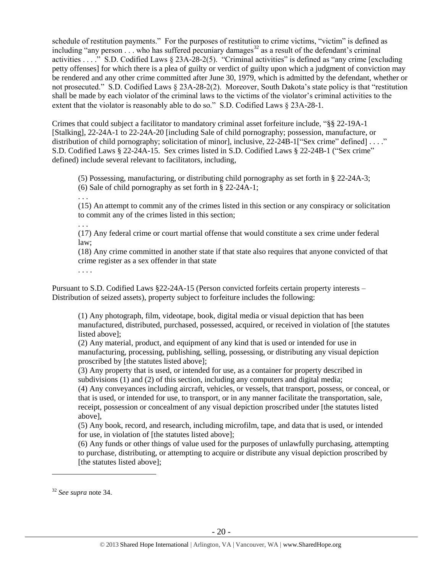schedule of restitution payments." For the purposes of restitution to crime victims, "victim" is defined as including "any person  $\ldots$  who has suffered pecuniary damages<sup>32</sup> as a result of the defendant's criminal activities . . . ." S.D. Codified Laws § 23A-28-2(5). "Criminal activities" is defined as "any crime [excluding petty offenses] for which there is a plea of guilty or verdict of guilty upon which a judgment of conviction may be rendered and any other crime committed after June 30, 1979, which is admitted by the defendant, whether or not prosecuted." S.D. Codified Laws § 23A-28-2(2). Moreover, South Dakota's state policy is that "restitution shall be made by each violator of the criminal laws to the victims of the violator's criminal activities to the extent that the violator is reasonably able to do so." S.D. Codified Laws § 23A-28-1.

Crimes that could subject a facilitator to mandatory criminal asset forfeiture include, "§§ 22-19A-1 [Stalking], 22-24A-1 to 22-24A-20 [including Sale of child pornography; possession, manufacture, or distribution of child pornography; solicitation of minor], inclusive, 22-24B-1["Sex crime" defined] . . . ." S.D. Codified Laws § 22-24A-15. Sex crimes listed in S.D. Codified Laws § 22-24B-1 ("Sex crime" defined) include several relevant to facilitators, including,

(5) Possessing, manufacturing, or distributing child pornography as set forth in § 22-24A-3;

- (6) Sale of child pornography as set forth in § 22-24A-1;
- . . .

. . .

(15) An attempt to commit any of the crimes listed in this section or any conspiracy or solicitation to commit any of the crimes listed in this section;

(17) Any federal crime or court martial offense that would constitute a sex crime under federal law;

(18) Any crime committed in another state if that state also requires that anyone convicted of that crime register as a sex offender in that state

. . . .

Pursuant to S.D. Codified Laws §22-24A-15 (Person convicted forfeits certain property interests – Distribution of seized assets), property subject to forfeiture includes the following:

(1) Any photograph, film, videotape, book, digital media or visual depiction that has been manufactured, distributed, purchased, possessed, acquired, or received in violation of [the statutes listed above];

(2) Any material, product, and equipment of any kind that is used or intended for use in manufacturing, processing, publishing, selling, possessing, or distributing any visual depiction proscribed by [the statutes listed above];

(3) Any property that is used, or intended for use, as a container for property described in subdivisions (1) and (2) of this section, including any computers and digital media;

(4) Any conveyances including aircraft, vehicles, or vessels, that transport, possess, or conceal, or that is used, or intended for use, to transport, or in any manner facilitate the transportation, sale, receipt, possession or concealment of any visual depiction proscribed under [the statutes listed above],

(5) Any book, record, and research, including microfilm, tape, and data that is used, or intended for use, in violation of [the statutes listed above];

(6) Any funds or other things of value used for the purposes of unlawfully purchasing, attempting to purchase, distributing, or attempting to acquire or distribute any visual depiction proscribed by [the statutes listed above];

<sup>32</sup> *See supra* note [34.](#page-21-0)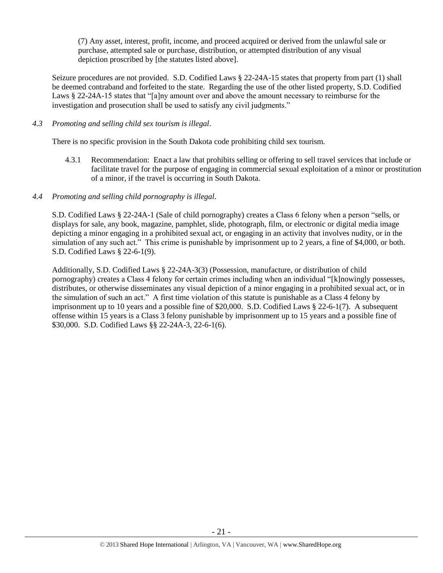(7) Any asset, interest, profit, income, and proceed acquired or derived from the unlawful sale or purchase, attempted sale or purchase, distribution, or attempted distribution of any visual depiction proscribed by [the statutes listed above].

Seizure procedures are not provided. S.D. Codified Laws § 22-24A-15 states that property from part (1) shall be deemed contraband and forfeited to the state. Regarding the use of the other listed property, S.D. Codified Laws § 22-24A-15 states that "[a]ny amount over and above the amount necessary to reimburse for the investigation and prosecution shall be used to satisfy any civil judgments."

## *4.3 Promoting and selling child sex tourism is illegal*.

There is no specific provision in the South Dakota code prohibiting child sex tourism.

4.3.1 Recommendation: Enact a law that prohibits selling or offering to sell travel services that include or facilitate travel for the purpose of engaging in commercial sexual exploitation of a minor or prostitution of a minor, if the travel is occurring in South Dakota.

## *4.4 Promoting and selling child pornography is illegal*.

S.D. Codified Laws § 22-24A-1 (Sale of child pornography) creates a Class 6 felony when a person "sells, or displays for sale, any book, magazine, pamphlet, slide, photograph, film, or electronic or digital media image depicting a minor engaging in a prohibited sexual act, or engaging in an activity that involves nudity, or in the simulation of any such act." This crime is punishable by imprisonment up to 2 years, a fine of \$4,000, or both. S.D. Codified Laws § 22-6-1(9).

Additionally, S.D. Codified Laws § 22-24A-3(3) (Possession, manufacture, or distribution of child pornography) creates a Class 4 felony for certain crimes including when an individual "[k]nowingly possesses, distributes, or otherwise disseminates any visual depiction of a minor engaging in a prohibited sexual act, or in the simulation of such an act." A first time violation of this statute is punishable as a Class 4 felony by imprisonment up to 10 years and a possible fine of \$20,000. S.D. Codified Laws § 22-6-1(7). A subsequent offense within 15 years is a Class 3 felony punishable by imprisonment up to 15 years and a possible fine of \$30,000. S.D. Codified Laws §§ 22-24A-3, 22-6-1(6).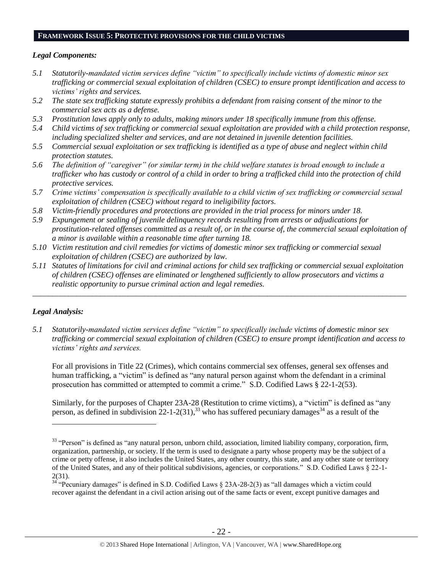#### **FRAMEWORK ISSUE 5: PROTECTIVE PROVISIONS FOR THE CHILD VICTIMS**

## *Legal Components:*

- *5.1 Statutorily-mandated victim services define "victim" to specifically include victims of domestic minor sex trafficking or commercial sexual exploitation of children (CSEC) to ensure prompt identification and access to victims' rights and services.*
- *5.2 The state sex trafficking statute expressly prohibits a defendant from raising consent of the minor to the commercial sex acts as a defense.*
- *5.3 Prostitution laws apply only to adults, making minors under 18 specifically immune from this offense.*
- *5.4 Child victims of sex trafficking or commercial sexual exploitation are provided with a child protection response, including specialized shelter and services, and are not detained in juvenile detention facilities.*
- *5.5 Commercial sexual exploitation or sex trafficking is identified as a type of abuse and neglect within child protection statutes.*
- *5.6 The definition of "caregiver" (or similar term) in the child welfare statutes is broad enough to include a trafficker who has custody or control of a child in order to bring a trafficked child into the protection of child protective services.*
- *5.7 Crime victims' compensation is specifically available to a child victim of sex trafficking or commercial sexual exploitation of children (CSEC) without regard to ineligibility factors.*
- *5.8 Victim-friendly procedures and protections are provided in the trial process for minors under 18.*
- *5.9 Expungement or sealing of juvenile delinquency records resulting from arrests or adjudications for prostitution-related offenses committed as a result of, or in the course of, the commercial sexual exploitation of a minor is available within a reasonable time after turning 18.*
- *5.10 Victim restitution and civil remedies for victims of domestic minor sex trafficking or commercial sexual exploitation of children (CSEC) are authorized by law.*
- *5.11 Statutes of limitations for civil and criminal actions for child sex trafficking or commercial sexual exploitation of children (CSEC) offenses are eliminated or lengthened sufficiently to allow prosecutors and victims a realistic opportunity to pursue criminal action and legal remedies.*

*\_\_\_\_\_\_\_\_\_\_\_\_\_\_\_\_\_\_\_\_\_\_\_\_\_\_\_\_\_\_\_\_\_\_\_\_\_\_\_\_\_\_\_\_\_\_\_\_\_\_\_\_\_\_\_\_\_\_\_\_\_\_\_\_\_\_\_\_\_\_\_\_\_\_\_\_\_\_\_\_\_\_\_\_\_\_\_\_\_\_\_\_\_\_*

# *Legal Analysis:*

<span id="page-21-0"></span> $\overline{a}$ 

*5.1 Statutorily-mandated victim services define "victim" to specifically include victims of domestic minor sex trafficking or commercial sexual exploitation of children (CSEC) to ensure prompt identification and access to victims' rights and services.*

For all provisions in Title 22 (Crimes), which contains commercial sex offenses, general sex offenses and human trafficking, a "victim" is defined as "any natural person against whom the defendant in a criminal prosecution has committed or attempted to commit a crime." S.D. Codified Laws § 22-1-2(53).

Similarly, for the purposes of Chapter 23A-28 (Restitution to crime victims), a "victim" is defined as "any person, as defined in subdivision  $22$ -1-2(31),<sup>33</sup> who has suffered pecuniary damages<sup>34</sup> as a result of the

<sup>&</sup>lt;sup>33</sup> "Person" is defined as "any natural person, unborn child, association, limited liability company, corporation, firm, organization, partnership, or society. If the term is used to designate a party whose property may be the subject of a crime or petty offense, it also includes the United States, any other country, this state, and any other state or territory of the United States, and any of their political subdivisions, agencies, or corporations." S.D. Codified Laws § 22-1- 2(31).

<sup>&</sup>lt;sup>2(31)</sup>. <sup>34</sup> "Pecuniary damages" is defined in S.D. Codified Laws  $\S$  23A-28-2(3) as "all damages which a victim could recover against the defendant in a civil action arising out of the same facts or event, except punitive damages and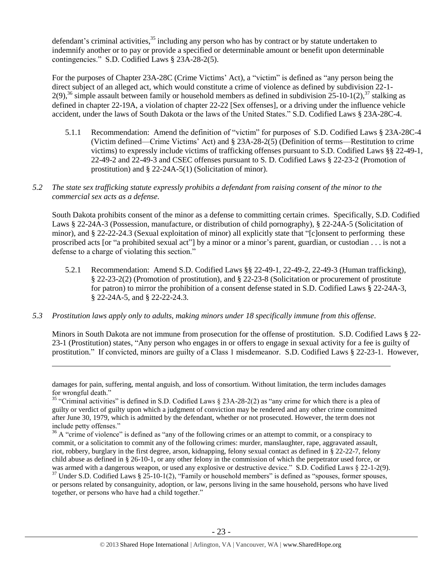defendant's criminal activities,<sup>35</sup> including any person who has by contract or by statute undertaken to indemnify another or to pay or provide a specified or determinable amount or benefit upon determinable contingencies." S.D. Codified Laws § 23A-28-2(5).

For the purposes of Chapter 23A-28C (Crime Victims' Act), a "victim" is defined as "any person being the direct subject of an alleged act, which would constitute a crime of violence as defined by subdivision 22-1-  $2(9)$ ,<sup>36</sup> simple assault between family or household members as defined in subdivision  $25$ -10-1(2),<sup>37</sup> stalking as defined in chapter 22-19A, a violation of chapter 22-22 [Sex offenses], or a driving under the influence vehicle accident, under the laws of South Dakota or the laws of the United States." S.D. Codified Laws § 23A-28C-4.

- 5.1.1 Recommendation: Amend the definition of "victim" for purposes of S.D. Codified Laws § 23A-28C-4 (Victim defined—Crime Victims' Act) and § 23A-28-2(5) (Definition of terms—Restitution to crime victims) to expressly include victims of trafficking offenses pursuant to S.D. Codified Laws §§ 22-49-1, 22-49-2 and 22-49-3 and CSEC offenses pursuant to S. D. Codified Laws § 22-23-2 (Promotion of prostitution) and § 22-24A-5(1) (Solicitation of minor).
- *5.2 The state sex trafficking statute expressly prohibits a defendant from raising consent of the minor to the commercial sex acts as a defense.*

South Dakota prohibits consent of the minor as a defense to committing certain crimes. Specifically, S.D. Codified Laws § 22-24A-3 (Possession, manufacture, or distribution of child pornography), § 22-24A-5 (Solicitation of minor), and § 22-22-24.3 (Sexual exploitation of minor) all explicitly state that "[c]onsent to performing these proscribed acts [or "a prohibited sexual act"] by a minor or a minor's parent, guardian, or custodian . . . is not a defense to a charge of violating this section."

- 5.2.1 Recommendation: Amend S.D. Codified Laws §§ 22-49-1, 22-49-2, 22-49-3 (Human trafficking), § 22-23-2(2) (Promotion of prostitution), and § 22-23-8 (Solicitation or procurement of prostitute for patron) to mirror the prohibition of a consent defense stated in S.D. Codified Laws § 22-24A-3, § 22-24A-5, and § 22-22-24.3.
- *5.3 Prostitution laws apply only to adults, making minors under 18 specifically immune from this offense.*

 $\overline{a}$ 

Minors in South Dakota are not immune from prosecution for the offense of prostitution. S.D. Codified Laws § 22- 23-1 (Prostitution) states, "Any person who engages in or offers to engage in sexual activity for a fee is guilty of prostitution." If convicted, minors are guilty of a Class 1 misdemeanor. S.D. Codified Laws § 22-23-1. However,

damages for pain, suffering, mental anguish, and loss of consortium. Without limitation, the term includes damages for wrongful death."

<sup>&</sup>lt;sup>35</sup> "Criminal activities" is defined in S.D. Codified Laws § 23A-28-2(2) as "any crime for which there is a plea of guilty or verdict of guilty upon which a judgment of conviction may be rendered and any other crime committed after June 30, 1979, which is admitted by the defendant, whether or not prosecuted. However, the term does not include petty offenses."

 $36$  A "crime of violence" is defined as "any of the following crimes or an attempt to commit, or a conspiracy to commit, or a solicitation to commit any of the following crimes: murder, manslaughter, rape, aggravated assault, riot, robbery, burglary in the first degree, arson, kidnapping, felony sexual contact as defined in § 22-22-7, felony child abuse as defined in § 26-10-1, or any other felony in the commission of which the perpetrator used force, or was armed with a dangerous weapon, or used any explosive or destructive device." S.D. Codified Laws § 22-1-2(9).

<sup>&</sup>lt;sup>37</sup> Under S.D. Codified Laws § 25-10-1(2), "Family or household members" is defined as "spouses, former spouses, or persons related by consanguinity, adoption, or law, persons living in the same household, persons who have lived together, or persons who have had a child together."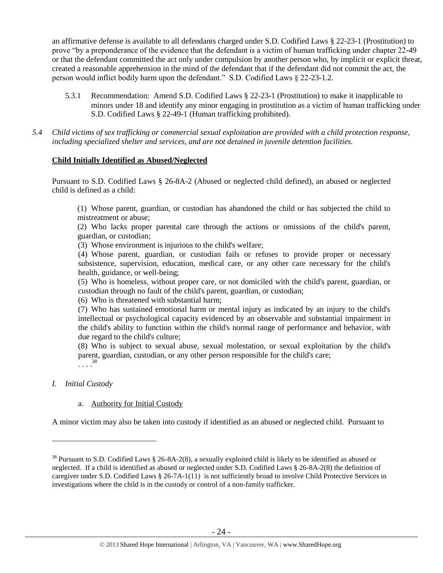an affirmative defense is available to all defendants charged under S.D. Codified Laws § 22-23-1 (Prostitution) to prove "by a preponderance of the evidence that the defendant is a victim of human trafficking under chapter 22-49 or that the defendant committed the act only under compulsion by another person who, by implicit or explicit threat, created a reasonable apprehension in the mind of the defendant that if the defendant did not commit the act, the person would inflict bodily harm upon the defendant." S.D. Codified Laws § 22-23-1.2.

5.3.1 Recommendation: Amend S.D. Codified Laws § 22-23-1 (Prostitution) to make it inapplicable to minors under 18 and identify any minor engaging in prostitution as a victim of human trafficking under S.D. Codified Laws § 22-49-1 (Human trafficking prohibited).

*5.4 Child victims of sex trafficking or commercial sexual exploitation are provided with a child protection response, including specialized shelter and services, and are not detained in juvenile detention facilities.*

#### **Child Initially Identified as Abused/Neglected**

Pursuant to S.D. Codified Laws § 26-8A-2 (Abused or neglected child defined), an abused or neglected child is defined as a child:

(1) Whose parent, guardian, or custodian has abandoned the child or has subjected the child to mistreatment or abuse;

(2) Who lacks proper parental care through the actions or omissions of the child's parent, guardian, or custodian;

(3) Whose environment is injurious to the child's welfare;

(4) Whose parent, guardian, or custodian fails or refuses to provide proper or necessary subsistence, supervision, education, medical care, or any other care necessary for the child's health, guidance, or well-being;

(5) Who is homeless, without proper care, or not domiciled with the child's parent, guardian, or custodian through no fault of the child's parent, guardian, or custodian;

(6) Who is threatened with substantial harm;

(7) Who has sustained emotional harm or mental injury as indicated by an injury to the child's intellectual or psychological capacity evidenced by an observable and substantial impairment in the child's ability to function within the child's normal range of performance and behavior, with due regard to the child's culture;

(8) Who is subject to sexual abuse, sexual molestation, or sexual exploitation by the child's parent, guardian, custodian, or any other person responsible for the child's care; . . . . 38

#### *I. Initial Custody*

 $\overline{a}$ 

#### a. Authority for Initial Custody

A minor victim may also be taken into custody if identified as an abused or neglected child. Pursuant to

<sup>&</sup>lt;sup>38</sup> Pursuant to S.D. Codified Laws  $\S$  26-8A-2(8), a sexually exploited child is likely to be identified as abused or neglected. If a child is identified as abused or neglected under S.D. Codified Laws § 26-8A-2(8) the definition of caregiver under S.D. Codified Laws § 26-7A-1(11) is not sufficiently broad to involve Child Protective Services in investigations where the child is in the custody or control of a non-family trafficker.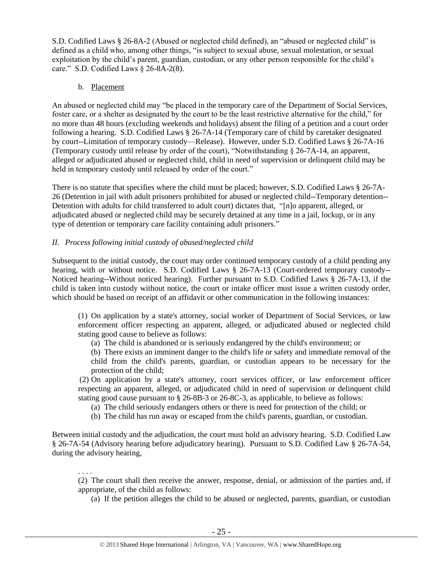S.D. Codified Laws § 26-8A-2 (Abused or neglected child defined), an "abused or neglected child" is defined as a child who, among other things, "is subject to sexual abuse, sexual molestation, or sexual exploitation by the child's parent, guardian, custodian, or any other person responsible for the child's care." S.D. Codified Laws § 26-8A-2(8).

## b. Placement

An abused or neglected child may "be placed in the temporary care of the Department of Social Services, foster care, or a shelter as designated by the court to be the least restrictive alternative for the child," for no more than 48 hours (excluding weekends and holidays) absent the filing of a petition and a court order following a hearing. S.D. Codified Laws § 26-7A-14 (Temporary care of child by caretaker designated by court--Limitation of temporary custody—Release). However, under S.D. Codified Laws § 26-7A-16 (Temporary custody until release by order of the court), "Notwithstanding § 26-7A-14, an apparent, alleged or adjudicated abused or neglected child, child in need of supervision or delinquent child may be held in temporary custody until released by order of the court."

There is no statute that specifies where the child must be placed; however, S.D. Codified Laws § 26-7A-26 (Detention in jail with adult prisoners prohibited for abused or neglected child--Temporary detention-- Detention with adults for child transferred to adult court) dictates that, "[n]o apparent, alleged, or adjudicated abused or neglected child may be securely detained at any time in a jail, lockup, or in any type of detention or temporary care facility containing adult prisoners."

## *II. Process following initial custody of abused/neglected child*

Subsequent to the initial custody, the court may order continued temporary custody of a child pending any hearing, with or without notice. S.D. Codified Laws § 26-7A-13 (Court-ordered temporary custody--Noticed hearing--Without noticed hearing). Further pursuant to S.D. Codified Laws § 26-7A-13, if the child is taken into custody without notice, the court or intake officer must issue a written custody order, which should be based on receipt of an affidavit or other communication in the following instances:

(1) On application by a state's attorney, social worker of Department of Social Services, or law enforcement officer respecting an apparent, alleged, or adjudicated abused or neglected child stating good cause to believe as follows:

(a) The child is abandoned or is seriously endangered by the child's environment; or

(b) There exists an imminent danger to the child's life or safety and immediate removal of the child from the child's parents, guardian, or custodian appears to be necessary for the protection of the child;

(2) On application by a state's attorney, court services officer, or law enforcement officer respecting an apparent, alleged, or adjudicated child in need of supervision or delinquent child stating good cause pursuant to § 26-8B-3 or 26-8C-3, as applicable, to believe as follows:

(a) The child seriously endangers others or there is need for protection of the child; or

(b) The child has run away or escaped from the child's parents, guardian, or custodian.

Between initial custody and the adjudication, the court must hold an advisory hearing. S.D. Codified Law § 26-7A-54 (Advisory hearing before adjudicatory hearing). Pursuant to S.D. Codified Law § 26-7A-54, during the advisory hearing,

. . . . (2) The court shall then receive the answer, response, denial, or admission of the parties and, if appropriate, of the child as follows:

(a) If the petition alleges the child to be abused or neglected, parents, guardian, or custodian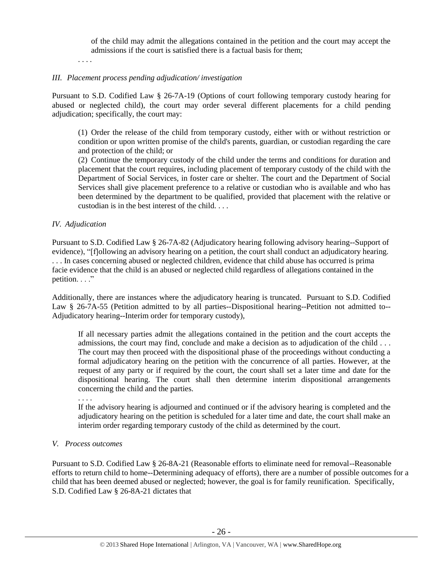of the child may admit the allegations contained in the petition and the court may accept the admissions if the court is satisfied there is a factual basis for them;

. . . .

## *III. Placement process pending adjudication/ investigation*

Pursuant to S.D. Codified Law § 26-7A-19 (Options of court following temporary custody hearing for abused or neglected child), the court may order several different placements for a child pending adjudication; specifically, the court may:

(1) Order the release of the child from temporary custody, either with or without restriction or condition or upon written promise of the child's parents, guardian, or custodian regarding the care and protection of the child; or

(2) Continue the temporary custody of the child under the terms and conditions for duration and placement that the court requires, including placement of temporary custody of the child with the Department of Social Services, in foster care or shelter. The court and the Department of Social Services shall give placement preference to a relative or custodian who is available and who has been determined by the department to be qualified, provided that placement with the relative or custodian is in the best interest of the child. . . .

## *IV. Adjudication*

Pursuant to S.D. Codified Law § 26-7A-82 (Adjudicatory hearing following advisory hearing--Support of evidence), "[f]ollowing an advisory hearing on a petition, the court shall conduct an adjudicatory hearing. . . . In cases concerning abused or neglected children, evidence that child abuse has occurred is prima facie evidence that the child is an abused or neglected child regardless of allegations contained in the petition. . . ."

Additionally, there are instances where the adjudicatory hearing is truncated. Pursuant to S.D. Codified Law § 26-7A-55 (Petition admitted to by all parties--Dispositional hearing--Petition not admitted to--Adjudicatory hearing--Interim order for temporary custody),

If all necessary parties admit the allegations contained in the petition and the court accepts the admissions, the court may find, conclude and make a decision as to adjudication of the child . . . The court may then proceed with the dispositional phase of the proceedings without conducting a formal adjudicatory hearing on the petition with the concurrence of all parties. However, at the request of any party or if required by the court, the court shall set a later time and date for the dispositional hearing. The court shall then determine interim dispositional arrangements concerning the child and the parties.

. . . .

If the advisory hearing is adjourned and continued or if the advisory hearing is completed and the adjudicatory hearing on the petition is scheduled for a later time and date, the court shall make an interim order regarding temporary custody of the child as determined by the court.

#### *V. Process outcomes*

Pursuant to S.D. Codified Law § 26-8A-21 (Reasonable efforts to eliminate need for removal--Reasonable efforts to return child to home--Determining adequacy of efforts), there are a number of possible outcomes for a child that has been deemed abused or neglected; however, the goal is for family reunification. Specifically, S.D. Codified Law § 26-8A-21 dictates that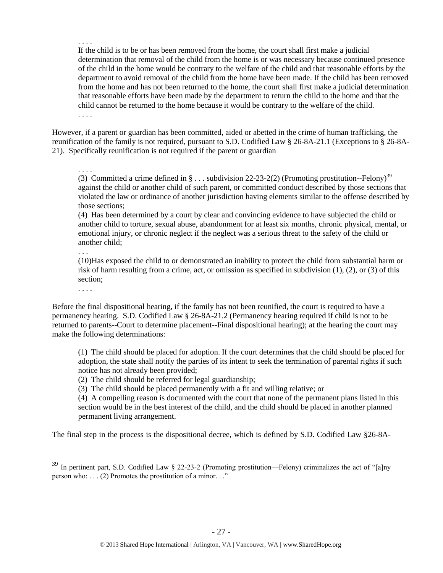. . . . If the child is to be or has been removed from the home, the court shall first make a judicial determination that removal of the child from the home is or was necessary because continued presence of the child in the home would be contrary to the welfare of the child and that reasonable efforts by the department to avoid removal of the child from the home have been made. If the child has been removed from the home and has not been returned to the home, the court shall first make a judicial determination that reasonable efforts have been made by the department to return the child to the home and that the child cannot be returned to the home because it would be contrary to the welfare of the child. . . . .

However, if a parent or guardian has been committed, aided or abetted in the crime of human trafficking, the reunification of the family is not required, pursuant to S.D. Codified Law § 26-8A-21.1 (Exceptions to § 26-8A-21). Specifically reunification is not required if the parent or guardian

. . . . (3) Committed a crime defined in  $\S...$  subdivision 22-23-2(2) (Promoting prostitution--Felony)<sup>39</sup> against the child or another child of such parent, or committed conduct described by those sections that violated the law or ordinance of another jurisdiction having elements similar to the offense described by those sections;

(4) Has been determined by a court by clear and convincing evidence to have subjected the child or another child to torture, sexual abuse, abandonment for at least six months, chronic physical, mental, or emotional injury, or chronic neglect if the neglect was a serious threat to the safety of the child or another child;

. . .

(10)Has exposed the child to or demonstrated an inability to protect the child from substantial harm or risk of harm resulting from a crime, act, or omission as specified in subdivision (1), (2), or (3) of this section;

. . . .

 $\overline{a}$ 

Before the final dispositional hearing, if the family has not been reunified, the court is required to have a permanency hearing. S.D. Codified Law § 26-8A-21.2 (Permanency hearing required if child is not to be returned to parents--Court to determine placement--Final dispositional hearing); at the hearing the court may make the following determinations:

(1) The child should be placed for adoption. If the court determines that the child should be placed for adoption, the state shall notify the parties of its intent to seek the termination of parental rights if such notice has not already been provided;

(2) The child should be referred for legal guardianship;

(3) The child should be placed permanently with a fit and willing relative; or

(4) A compelling reason is documented with the court that none of the permanent plans listed in this section would be in the best interest of the child, and the child should be placed in another planned permanent living arrangement.

The final step in the process is the dispositional decree, which is defined by S.D. Codified Law §26-8A-

<sup>39</sup> In pertinent part, S.D. Codified Law § 22-23-2 (Promoting prostitution—Felony) criminalizes the act of "[a]ny person who: . . . (2) Promotes the prostitution of a minor. . ."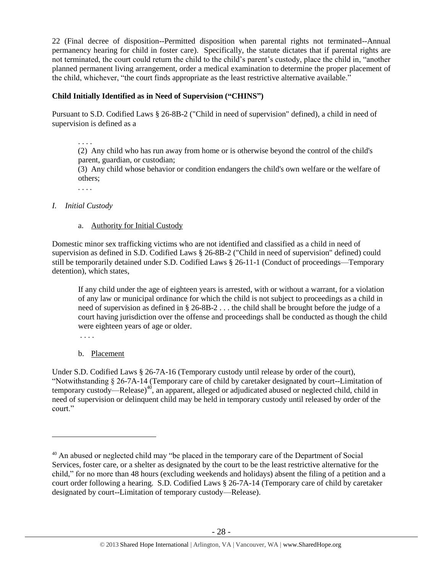22 (Final decree of disposition--Permitted disposition when parental rights not terminated--Annual permanency hearing for child in foster care). Specifically, the statute dictates that if parental rights are not terminated, the court could return the child to the child's parent's custody, place the child in, "another planned permanent living arrangement, order a medical examination to determine the proper placement of the child, whichever, "the court finds appropriate as the least restrictive alternative available."

# **Child Initially Identified as in Need of Supervision ("CHINS")**

Pursuant to S.D. Codified Laws § 26-8B-2 ("Child in need of supervision" defined), a child in need of supervision is defined as a

. . . .

 (2) Any child who has run away from home or is otherwise beyond the control of the child's parent, guardian, or custodian;

 (3) Any child whose behavior or condition endangers the child's own welfare or the welfare of others;

. . . .

#### *I. Initial Custody*

a. Authority for Initial Custody

Domestic minor sex trafficking victims who are not identified and classified as a child in need of supervision as defined in S.D. Codified Laws § 26-8B-2 ("Child in need of supervision" defined) could still be temporarily detained under S.D. Codified Laws § 26-11-1 (Conduct of proceedings—Temporary detention), which states,

If any child under the age of eighteen years is arrested, with or without a warrant, for a violation of any law or municipal ordinance for which the child is not subject to proceedings as a child in need of supervision as defined in § 26-8B-2 . . . the child shall be brought before the judge of a court having jurisdiction over the offense and proceedings shall be conducted as though the child were eighteen years of age or older.

. . . .

 $\overline{a}$ 

b. Placement

Under S.D. Codified Laws § 26-7A-16 (Temporary custody until release by order of the court), "Notwithstanding § 26-7A-14 (Temporary care of child by caretaker designated by court--Limitation of temporary custody—Release)<sup>40</sup>, an apparent, alleged or adjudicated abused or neglected child, child in need of supervision or delinquent child may be held in temporary custody until released by order of the court."

<sup>&</sup>lt;sup>40</sup> An abused or neglected child may "be placed in the temporary care of the Department of Social Services, foster care, or a shelter as designated by the court to be the least restrictive alternative for the child," for no more than 48 hours (excluding weekends and holidays) absent the filing of a petition and a court order following a hearing. S.D. Codified Laws § 26-7A-14 (Temporary care of child by caretaker designated by court--Limitation of temporary custody—Release).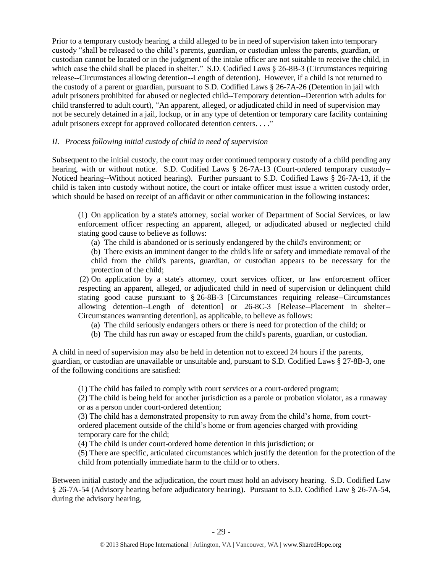Prior to a temporary custody hearing, a child alleged to be in need of supervision taken into temporary custody "shall be released to the child's parents, guardian, or custodian unless the parents, guardian, or custodian cannot be located or in the judgment of the intake officer are not suitable to receive the child, in which case the child shall be placed in shelter." S.D. Codified Laws § 26-8B-3 (Circumstances requiring release--Circumstances allowing detention--Length of detention). However, if a child is not returned to the custody of a parent or guardian, pursuant to S.D. Codified Laws § 26-7A-26 (Detention in jail with adult prisoners prohibited for abused or neglected child--Temporary detention--Detention with adults for child transferred to adult court), "An apparent, alleged, or adjudicated child in need of supervision may not be securely detained in a jail, lockup, or in any type of detention or temporary care facility containing adult prisoners except for approved collocated detention centers. . . ."

## *II. Process following initial custody of child in need of supervision*

Subsequent to the initial custody, the court may order continued temporary custody of a child pending any hearing, with or without notice. S.D. Codified Laws § 26-7A-13 (Court-ordered temporary custody--Noticed hearing--Without noticed hearing). Further pursuant to S.D. Codified Laws § 26-7A-13, if the child is taken into custody without notice, the court or intake officer must issue a written custody order, which should be based on receipt of an affidavit or other communication in the following instances:

(1) On application by a state's attorney, social worker of Department of Social Services, or law enforcement officer respecting an apparent, alleged, or adjudicated abused or neglected child stating good cause to believe as follows:

(a) The child is abandoned or is seriously endangered by the child's environment; or

(b) There exists an imminent danger to the child's life or safety and immediate removal of the child from the child's parents, guardian, or custodian appears to be necessary for the protection of the child;

(2) On application by a state's attorney, court services officer, or law enforcement officer respecting an apparent, alleged, or adjudicated child in need of supervision or delinquent child stating good cause pursuant to § 26-8B-3 [Circumstances requiring release--Circumstances allowing detention--Length of detention] or 26-8C-3 [Release--Placement in shelter-- Circumstances warranting detention], as applicable, to believe as follows:

- (a) The child seriously endangers others or there is need for protection of the child; or
- (b) The child has run away or escaped from the child's parents, guardian, or custodian.

A child in need of supervision may also be held in detention not to exceed 24 hours if the parents, guardian, or custodian are unavailable or unsuitable and, pursuant to S.D. Codified Laws § 27-8B-3, one of the following conditions are satisfied:

(1) The child has failed to comply with court services or a court-ordered program;

(2) The child is being held for another jurisdiction as a parole or probation violator, as a runaway or as a person under court-ordered detention;

(3) The child has a demonstrated propensity to run away from the child's home, from courtordered placement outside of the child's home or from agencies charged with providing temporary care for the child;

(4) The child is under court-ordered home detention in this jurisdiction; or

(5) There are specific, articulated circumstances which justify the detention for the protection of the child from potentially immediate harm to the child or to others.

Between initial custody and the adjudication, the court must hold an advisory hearing. S.D. Codified Law § 26-7A-54 (Advisory hearing before adjudicatory hearing). Pursuant to S.D. Codified Law § 26-7A-54, during the advisory hearing,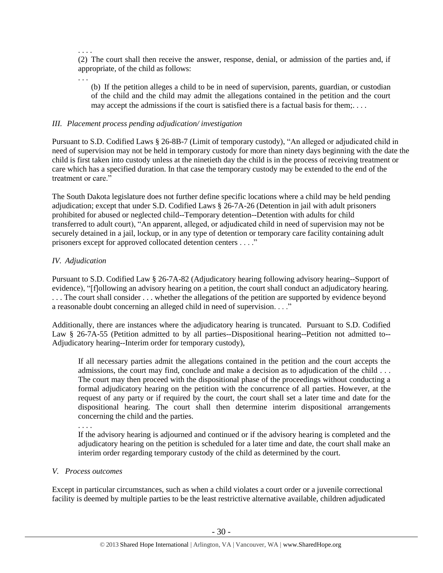. . . .

(2) The court shall then receive the answer, response, denial, or admission of the parties and, if appropriate, of the child as follows:

. . .

(b) If the petition alleges a child to be in need of supervision, parents, guardian, or custodian of the child and the child may admit the allegations contained in the petition and the court may accept the admissions if the court is satisfied there is a factual basis for them;. . . .

#### *III. Placement process pending adjudication/ investigation*

Pursuant to S.D. Codified Laws § 26-8B-7 (Limit of temporary custody), "An alleged or adjudicated child in need of supervision may not be held in temporary custody for more than ninety days beginning with the date the child is first taken into custody unless at the ninetieth day the child is in the process of receiving treatment or care which has a specified duration. In that case the temporary custody may be extended to the end of the treatment or care."

The South Dakota legislature does not further define specific locations where a child may be held pending adjudication; except that under S.D. Codified Laws § 26-7A-26 (Detention in jail with adult prisoners prohibited for abused or neglected child--Temporary detention--Detention with adults for child transferred to adult court), "An apparent, alleged, or adjudicated child in need of supervision may not be securely detained in a jail, lockup, or in any type of detention or temporary care facility containing adult prisoners except for approved collocated detention centers . . . ."

#### *IV. Adjudication*

Pursuant to S.D. Codified Law § 26-7A-82 (Adjudicatory hearing following advisory hearing--Support of evidence), "[f]ollowing an advisory hearing on a petition, the court shall conduct an adjudicatory hearing. . . . The court shall consider . . . whether the allegations of the petition are supported by evidence beyond a reasonable doubt concerning an alleged child in need of supervision. . . ."

Additionally, there are instances where the adjudicatory hearing is truncated. Pursuant to S.D. Codified Law § 26-7A-55 (Petition admitted to by all parties--Dispositional hearing--Petition not admitted to--Adjudicatory hearing--Interim order for temporary custody),

If all necessary parties admit the allegations contained in the petition and the court accepts the admissions, the court may find, conclude and make a decision as to adjudication of the child . . . The court may then proceed with the dispositional phase of the proceedings without conducting a formal adjudicatory hearing on the petition with the concurrence of all parties. However, at the request of any party or if required by the court, the court shall set a later time and date for the dispositional hearing. The court shall then determine interim dispositional arrangements concerning the child and the parties.

If the advisory hearing is adjourned and continued or if the advisory hearing is completed and the adjudicatory hearing on the petition is scheduled for a later time and date, the court shall make an interim order regarding temporary custody of the child as determined by the court.

#### *V. Process outcomes*

. . . .

Except in particular circumstances, such as when a child violates a court order or a juvenile correctional facility is deemed by multiple parties to be the least restrictive alternative available, children adjudicated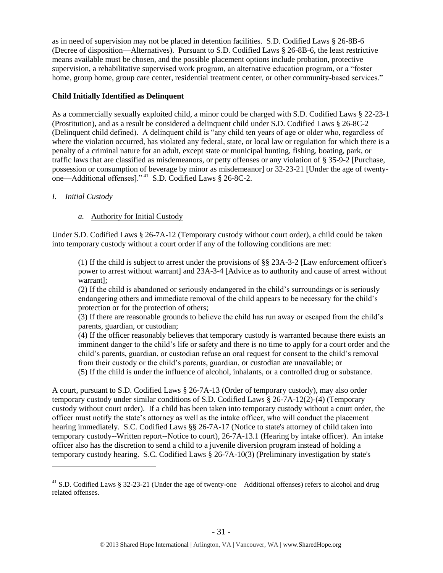as in need of supervision may not be placed in detention facilities. S.D. Codified Laws § 26-8B-6 (Decree of disposition—Alternatives). Pursuant to S.D. Codified Laws § 26-8B-6, the least restrictive means available must be chosen, and the possible placement options include probation, protective supervision, a rehabilitative supervised work program, an alternative education program, or a "foster home, group home, group care center, residential treatment center, or other community-based services."

## **Child Initially Identified as Delinquent**

As a commercially sexually exploited child, a minor could be charged with S.D. Codified Laws § 22-23-1 (Prostitution), and as a result be considered a delinquent child under S.D. Codified Laws § 26-8C-2 (Delinquent child defined). A delinquent child is "any child ten years of age or older who, regardless of where the violation occurred, has violated any federal, state, or local law or regulation for which there is a penalty of a criminal nature for an adult, except state or municipal hunting, fishing, boating, park, or traffic laws that are classified as misdemeanors, or petty offenses or any violation of § 35-9-2 [Purchase, possession or consumption of beverage by minor as misdemeanor] or 32-23-21 [Under the age of twentyone—Additional offenses]." <sup>41</sup> S.D. Codified Laws § 26-8C-2.

## *I. Initial Custody*

 $\overline{a}$ 

## *a.* Authority for Initial Custody

Under S.D. Codified Laws § 26-7A-12 (Temporary custody without court order), a child could be taken into temporary custody without a court order if any of the following conditions are met:

(1) If the child is subject to arrest under the provisions of §§ 23A-3-2 [Law enforcement officer's power to arrest without warrant] and 23A-3-4 [Advice as to authority and cause of arrest without warrant];

(2) If the child is abandoned or seriously endangered in the child's surroundings or is seriously endangering others and immediate removal of the child appears to be necessary for the child's protection or for the protection of others;

(3) If there are reasonable grounds to believe the child has run away or escaped from the child's parents, guardian, or custodian;

(4) If the officer reasonably believes that temporary custody is warranted because there exists an imminent danger to the child's life or safety and there is no time to apply for a court order and the child's parents, guardian, or custodian refuse an oral request for consent to the child's removal from their custody or the child's parents, guardian, or custodian are unavailable; or

(5) If the child is under the influence of alcohol, inhalants, or a controlled drug or substance.

A court, pursuant to S.D. Codified Laws § 26-7A-13 (Order of temporary custody), may also order temporary custody under similar conditions of S.D. Codified Laws § 26-7A-12(2)-(4) (Temporary custody without court order). If a child has been taken into temporary custody without a court order, the officer must notify the state's attorney as well as the intake officer, who will conduct the placement hearing immediately. S.C. Codified Laws §§ 26-7A-17 (Notice to state's attorney of child taken into temporary custody--Written report--Notice to court), 26-7A-13.1 (Hearing by intake officer). An intake officer also has the discretion to send a child to a juvenile diversion program instead of holding a temporary custody hearing. S.C. Codified Laws § 26-7A-10(3) (Preliminary investigation by state's

<sup>&</sup>lt;sup>41</sup> S.D. Codified Laws § 32-23-21 (Under the age of twenty-one—Additional offenses) refers to alcohol and drug related offenses.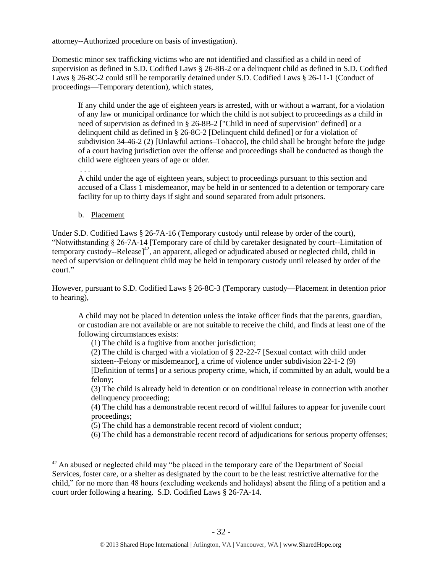attorney--Authorized procedure on basis of investigation).

Domestic minor sex trafficking victims who are not identified and classified as a child in need of supervision as defined in S.D. Codified Laws § 26-8B-2 or a delinquent child as defined in S.D. Codified Laws § 26-8C-2 could still be temporarily detained under S.D. Codified Laws § 26-11-1 (Conduct of proceedings—Temporary detention), which states,

If any child under the age of eighteen years is arrested, with or without a warrant, for a violation of any law or municipal ordinance for which the child is not subject to proceedings as a child in need of supervision as defined in § 26-8B-2 ["Child in need of supervision" defined] or a delinquent child as defined in § 26-8C-2 [Delinquent child defined] or for a violation of subdivision 34-46-2 (2) [Unlawful actions–Tobacco], the child shall be brought before the judge of a court having jurisdiction over the offense and proceedings shall be conducted as though the child were eighteen years of age or older.

. . .

 $\overline{a}$ 

A child under the age of eighteen years, subject to proceedings pursuant to this section and accused of a Class 1 misdemeanor, may be held in or sentenced to a detention or temporary care facility for up to thirty days if sight and sound separated from adult prisoners.

b. Placement

Under S.D. Codified Laws § 26-7A-16 (Temporary custody until release by order of the court), "Notwithstanding § 26-7A-14 [Temporary care of child by caretaker designated by court--Limitation of temporary custody--Release]<sup>42</sup>, an apparent, alleged or adjudicated abused or neglected child, child in need of supervision or delinquent child may be held in temporary custody until released by order of the court."

However, pursuant to S.D. Codified Laws § 26-8C-3 (Temporary custody—Placement in detention prior to hearing),

A child may not be placed in detention unless the intake officer finds that the parents, guardian, or custodian are not available or are not suitable to receive the child, and finds at least one of the following circumstances exists:

(1) The child is a fugitive from another jurisdiction;

(2) The child is charged with a violation of § 22-22-7 [Sexual contact with child under sixteen--Felony or misdemeanor], a crime of violence under subdivision 22-1-2 (9)

[Definition of terms] or a serious property crime, which, if committed by an adult, would be a felony;

(3) The child is already held in detention or on conditional release in connection with another delinquency proceeding;

(4) The child has a demonstrable recent record of willful failures to appear for juvenile court proceedings;

(5) The child has a demonstrable recent record of violent conduct;

(6) The child has a demonstrable recent record of adjudications for serious property offenses;

 $42$  An abused or neglected child may "be placed in the temporary care of the Department of Social Services, foster care, or a shelter as designated by the court to be the least restrictive alternative for the child," for no more than 48 hours (excluding weekends and holidays) absent the filing of a petition and a court order following a hearing. S.D. Codified Laws § 26-7A-14.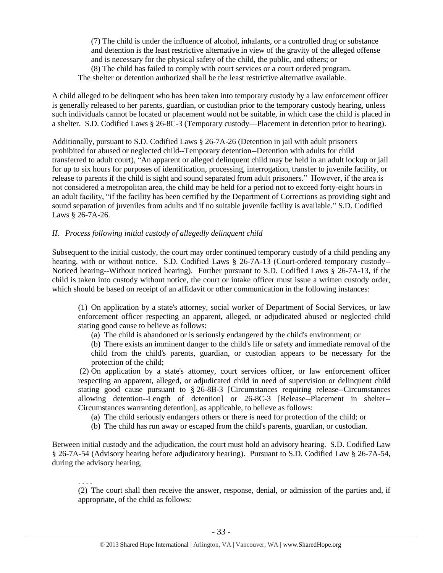(7) The child is under the influence of alcohol, inhalants, or a controlled drug or substance and detention is the least restrictive alternative in view of the gravity of the alleged offense and is necessary for the physical safety of the child, the public, and others; or (8) The child has failed to comply with court services or a court ordered program. The shelter or detention authorized shall be the least restrictive alternative available.

A child alleged to be delinquent who has been taken into temporary custody by a law enforcement officer is generally released to her parents, guardian, or custodian prior to the temporary custody hearing, unless such individuals cannot be located or placement would not be suitable, in which case the child is placed in a shelter. S.D. Codified Laws § 26-8C-3 (Temporary custody—Placement in detention prior to hearing).

Additionally, pursuant to S.D. Codified Laws § 26-7A-26 (Detention in jail with adult prisoners prohibited for abused or neglected child--Temporary detention--Detention with adults for child transferred to adult court), "An apparent or alleged delinquent child may be held in an adult lockup or jail for up to six hours for purposes of identification, processing, interrogation, transfer to juvenile facility, or release to parents if the child is sight and sound separated from adult prisoners." However, if the area is not considered a metropolitan area, the child may be held for a period not to exceed forty-eight hours in an adult facility, "if the facility has been certified by the Department of Corrections as providing sight and sound separation of juveniles from adults and if no suitable juvenile facility is available." S.D. Codified Laws § 26-7A-26.

## *II. Process following initial custody of allegedly delinquent child*

Subsequent to the initial custody, the court may order continued temporary custody of a child pending any hearing, with or without notice. S.D. Codified Laws § 26-7A-13 (Court-ordered temporary custody--Noticed hearing--Without noticed hearing). Further pursuant to S.D. Codified Laws § 26-7A-13, if the child is taken into custody without notice, the court or intake officer must issue a written custody order, which should be based on receipt of an affidavit or other communication in the following instances:

(1) On application by a state's attorney, social worker of Department of Social Services, or law enforcement officer respecting an apparent, alleged, or adjudicated abused or neglected child stating good cause to believe as follows:

(a) The child is abandoned or is seriously endangered by the child's environment; or

(b) There exists an imminent danger to the child's life or safety and immediate removal of the child from the child's parents, guardian, or custodian appears to be necessary for the protection of the child;

(2) On application by a state's attorney, court services officer, or law enforcement officer respecting an apparent, alleged, or adjudicated child in need of supervision or delinquent child stating good cause pursuant to § 26-8B-3 [Circumstances requiring release--Circumstances allowing detention--Length of detention] or 26-8C-3 [Release--Placement in shelter-- Circumstances warranting detention], as applicable, to believe as follows:

- (a) The child seriously endangers others or there is need for protection of the child; or
- (b) The child has run away or escaped from the child's parents, guardian, or custodian.

Between initial custody and the adjudication, the court must hold an advisory hearing. S.D. Codified Law § 26-7A-54 (Advisory hearing before adjudicatory hearing). Pursuant to S.D. Codified Law § 26-7A-54, during the advisory hearing,

. . . . (2) The court shall then receive the answer, response, denial, or admission of the parties and, if appropriate, of the child as follows: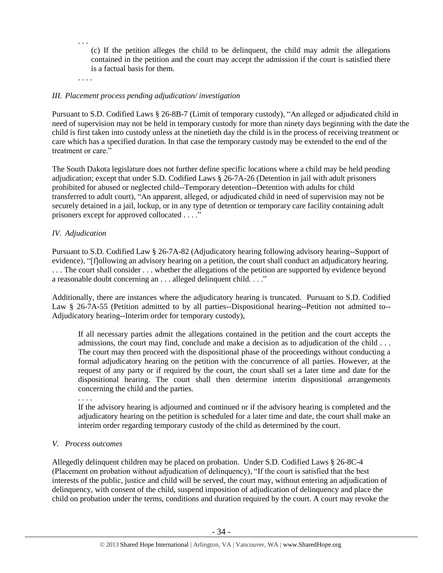(c) If the petition alleges the child to be delinquent, the child may admit the allegations contained in the petition and the court may accept the admission if the court is satisfied there is a factual basis for them.

. . . .

. . .

## *III. Placement process pending adjudication/ investigation*

Pursuant to S.D. Codified Laws § 26-8B-7 (Limit of temporary custody), "An alleged or adjudicated child in need of supervision may not be held in temporary custody for more than ninety days beginning with the date the child is first taken into custody unless at the ninetieth day the child is in the process of receiving treatment or care which has a specified duration. In that case the temporary custody may be extended to the end of the treatment or care."

The South Dakota legislature does not further define specific locations where a child may be held pending adjudication; except that under S.D. Codified Laws § 26-7A-26 (Detention in jail with adult prisoners prohibited for abused or neglected child--Temporary detention--Detention with adults for child transferred to adult court), "An apparent, alleged, or adjudicated child in need of supervision may not be securely detained in a jail, lockup, or in any type of detention or temporary care facility containing adult prisoners except for approved collocated . . . ."

## *IV. Adjudication*

Pursuant to S.D. Codified Law § 26-7A-82 (Adjudicatory hearing following advisory hearing--Support of evidence), "[f]ollowing an advisory hearing on a petition, the court shall conduct an adjudicatory hearing. . . . The court shall consider . . . whether the allegations of the petition are supported by evidence beyond a reasonable doubt concerning an . . . alleged delinquent child. . . ."

Additionally, there are instances where the adjudicatory hearing is truncated. Pursuant to S.D. Codified Law § 26-7A-55 (Petition admitted to by all parties--Dispositional hearing--Petition not admitted to--Adjudicatory hearing--Interim order for temporary custody),

If all necessary parties admit the allegations contained in the petition and the court accepts the admissions, the court may find, conclude and make a decision as to adjudication of the child . . . The court may then proceed with the dispositional phase of the proceedings without conducting a formal adjudicatory hearing on the petition with the concurrence of all parties. However, at the request of any party or if required by the court, the court shall set a later time and date for the dispositional hearing. The court shall then determine interim dispositional arrangements concerning the child and the parties.

. . . .

If the advisory hearing is adjourned and continued or if the advisory hearing is completed and the adjudicatory hearing on the petition is scheduled for a later time and date, the court shall make an interim order regarding temporary custody of the child as determined by the court.

#### *V. Process outcomes*

Allegedly delinquent children may be placed on probation. Under S.D. Codified Laws § 26-8C-4 (Placement on probation without adjudication of delinquency), "If the court is satisfied that the best interests of the public, justice and child will be served, the court may, without entering an adjudication of delinquency, with consent of the child, suspend imposition of adjudication of delinquency and place the child on probation under the terms, conditions and duration required by the court. A court may revoke the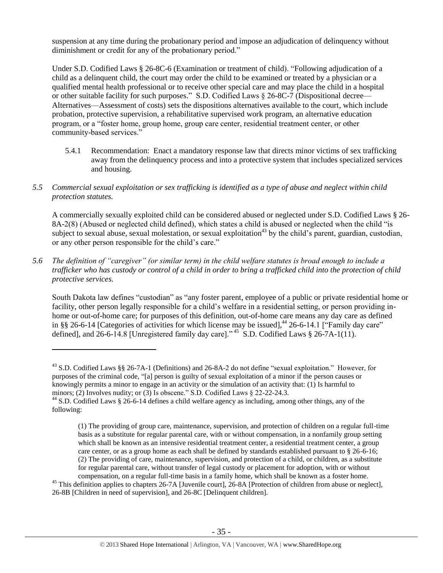suspension at any time during the probationary period and impose an adjudication of delinquency without diminishment or credit for any of the probationary period."

Under S.D. Codified Laws § 26-8C-6 (Examination or treatment of child). "Following adjudication of a child as a delinquent child, the court may order the child to be examined or treated by a physician or a qualified mental health professional or to receive other special care and may place the child in a hospital or other suitable facility for such purposes." S.D. Codified Laws § 26-8C-7 (Dispositional decree— Alternatives—Assessment of costs) sets the dispositions alternatives available to the court, which include probation, protective supervision, a rehabilitative supervised work program, an alternative education program, or a "foster home, group home, group care center, residential treatment center, or other community-based services."

- 5.4.1 Recommendation: Enact a mandatory response law that directs minor victims of sex trafficking away from the delinquency process and into a protective system that includes specialized services and housing.
- *5.5 Commercial sexual exploitation or sex trafficking is identified as a type of abuse and neglect within child protection statutes.*

A commercially sexually exploited child can be considered abused or neglected under S.D. Codified Laws § 26- 8A-2(8) (Abused or neglected child defined), which states a child is abused or neglected when the child "is subject to sexual abuse, sexual molestation, or sexual exploitation<sup>43</sup> by the child's parent, guardian, custodian, or any other person responsible for the child's care."

*5.6 The definition of "caregiver" (or similar term) in the child welfare statutes is broad enough to include a trafficker who has custody or control of a child in order to bring a trafficked child into the protection of child protective services.*

South Dakota law defines "custodian" as "any foster parent, employee of a public or private residential home or facility, other person legally responsible for a child's welfare in a residential setting, or person providing inhome or out-of-home care; for purposes of this definition, out-of-home care means any day care as defined in §§ 26-6-14 [Categories of activities for which license may be issued],<sup>44</sup> 26-6-14.1 ["Family day care" defined], and 26-6-14.8 [Unregistered family day care]."<sup>45</sup> S.D. Codified Laws  $\S$  26-7A-1(11).

<sup>43</sup> S.D. Codified Laws §§ 26-7A-1 (Definitions) and 26-8A-2 do not define "sexual exploitation." However, for purposes of the criminal code, "[a] person is guilty of sexual exploitation of a minor if the person causes or knowingly permits a minor to engage in an activity or the simulation of an activity that: (1) Is harmful to minors; (2) Involves nudity; or (3) Is obscene." S.D. Codified Laws § 22-22-24.3.

<sup>44</sup> S.D. Codified Laws § 26-6-14 defines a child welfare agency as including, among other things, any of the following:

<sup>(1)</sup> The providing of group care, maintenance, supervision, and protection of children on a regular full-time basis as a substitute for regular parental care, with or without compensation, in a nonfamily group setting which shall be known as an intensive residential treatment center, a residential treatment center, a group care center, or as a group home as each shall be defined by standards established pursuant to § 26-6-16; (2) The providing of care, maintenance, supervision, and protection of a child, or children, as a substitute for regular parental care, without transfer of legal custody or placement for adoption, with or without compensation, on a regular full-time basis in a family home, which shall be known as a foster home.

 $45$  This definition applies to chapters 26-7A [Juvenile court], 26-8A [Protection of children from abuse or neglect], 26-8B [Children in need of supervision], and 26-8C [Delinquent children].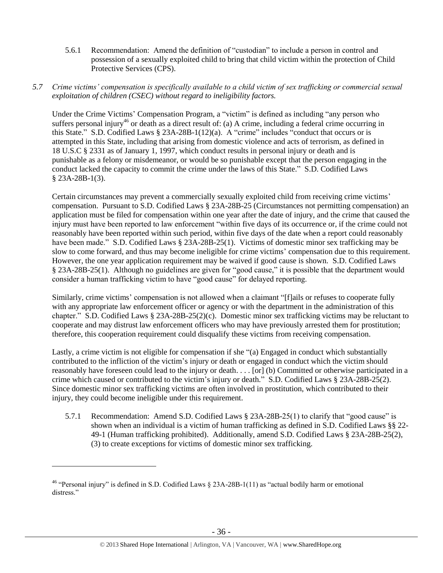- 5.6.1 Recommendation: Amend the definition of "custodian" to include a person in control and possession of a sexually exploited child to bring that child victim within the protection of Child Protective Services (CPS).
- *5.7 Crime victims' compensation is specifically available to a child victim of sex trafficking or commercial sexual exploitation of children (CSEC) without regard to ineligibility factors.*

Under the Crime Victims' Compensation Program, a "victim" is defined as including "any person who suffers personal injury<sup>46</sup> or death as a direct result of: (a) A crime, including a federal crime occurring in this State." S.D. Codified Laws § 23A-28B-1(12)(a). A "crime" includes "conduct that occurs or is attempted in this State, including that arising from domestic violence and acts of terrorism, as defined in 18 U.S.C § 2331 as of January 1, 1997, which conduct results in personal injury or death and is punishable as a felony or misdemeanor, or would be so punishable except that the person engaging in the conduct lacked the capacity to commit the crime under the laws of this State." S.D. Codified Laws § 23A-28B-1(3).

Certain circumstances may prevent a commercially sexually exploited child from receiving crime victims' compensation. Pursuant to S.D. Codified Laws § 23A-28B-25 (Circumstances not permitting compensation) an application must be filed for compensation within one year after the date of injury, and the crime that caused the injury must have been reported to law enforcement "within five days of its occurrence or, if the crime could not reasonably have been reported within such period, within five days of the date when a report could reasonably have been made." S.D. Codified Laws § 23A-28B-25(1). Victims of domestic minor sex trafficking may be slow to come forward, and thus may become ineligible for crime victims' compensation due to this requirement. However, the one year application requirement may be waived if good cause is shown. S.D. Codified Laws § 23A-28B-25(1). Although no guidelines are given for "good cause," it is possible that the department would consider a human trafficking victim to have "good cause" for delayed reporting.

Similarly, crime victims' compensation is not allowed when a claimant "[f]ails or refuses to cooperate fully with any appropriate law enforcement officer or agency or with the department in the administration of this chapter." S.D. Codified Laws § 23A-28B-25(2)(c). Domestic minor sex trafficking victims may be reluctant to cooperate and may distrust law enforcement officers who may have previously arrested them for prostitution; therefore, this cooperation requirement could disqualify these victims from receiving compensation.

Lastly, a crime victim is not eligible for compensation if she "(a) Engaged in conduct which substantially contributed to the infliction of the victim's injury or death or engaged in conduct which the victim should reasonably have foreseen could lead to the injury or death. . . . [or] (b) Committed or otherwise participated in a crime which caused or contributed to the victim's injury or death." S.D. Codified Laws § 23A-28B-25(2). Since domestic minor sex trafficking victims are often involved in prostitution, which contributed to their injury, they could become ineligible under this requirement.

5.7.1 Recommendation: Amend S.D. Codified Laws § 23A-28B-25(1) to clarify that "good cause" is shown when an individual is a victim of human trafficking as defined in S.D. Codified Laws §§ 22- 49-1 (Human trafficking prohibited). Additionally, amend S.D. Codified Laws § 23A-28B-25(2), (3) to create exceptions for victims of domestic minor sex trafficking.

<sup>&</sup>lt;sup>46</sup> "Personal injury" is defined in S.D. Codified Laws  $\S$  23A-28B-1(11) as "actual bodily harm or emotional distress."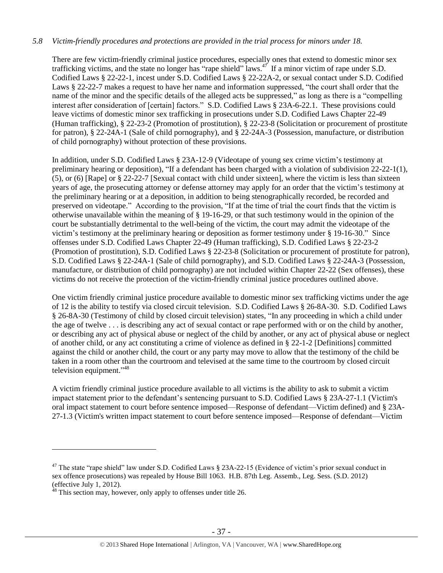## *5.8 Victim-friendly procedures and protections are provided in the trial process for minors under 18.*

There are few victim-friendly criminal justice procedures, especially ones that extend to domestic minor sex trafficking victims, and the state no longer has "rape shield" laws.<sup>47</sup> If a minor victim of rape under S.D. Codified Laws § 22-22-1, incest under S.D. Codified Laws § 22-22A-2, or sexual contact under S.D. Codified Laws § 22-22-7 makes a request to have her name and information suppressed, "the court shall order that the name of the minor and the specific details of the alleged acts be suppressed," as long as there is a "compelling interest after consideration of [certain] factors." S.D. Codified Laws § 23A-6-22.1. These provisions could leave victims of domestic minor sex trafficking in prosecutions under S.D. Codified Laws Chapter 22-49 (Human trafficking), § 22-23-2 (Promotion of prostitution), § 22-23-8 (Solicitation or procurement of prostitute for patron), § 22-24A-1 (Sale of child pornography), and § 22-24A-3 (Possession, manufacture, or distribution of child pornography) without protection of these provisions.

In addition, under S.D. Codified Laws § 23A-12-9 (Videotape of young sex crime victim's testimony at preliminary hearing or deposition), "If a defendant has been charged with a violation of subdivision 22-22-1(1), (5), or (6) [Rape] or § 22-22-7 [Sexual contact with child under sixteen], where the victim is less than sixteen years of age, the prosecuting attorney or defense attorney may apply for an order that the victim's testimony at the preliminary hearing or at a deposition, in addition to being stenographically recorded, be recorded and preserved on videotape." According to the provision, "If at the time of trial the court finds that the victim is otherwise unavailable within the meaning of § 19-16-29, or that such testimony would in the opinion of the court be substantially detrimental to the well-being of the victim, the court may admit the videotape of the victim's testimony at the preliminary hearing or deposition as former testimony under § 19-16-30." Since offenses under S.D. Codified Laws Chapter 22-49 (Human trafficking), S.D. Codified Laws § 22-23-2 (Promotion of prostitution), S.D. Codified Laws § 22-23-8 (Solicitation or procurement of prostitute for patron), S.D. Codified Laws § 22-24A-1 (Sale of child pornography), and S.D. Codified Laws § 22-24A-3 (Possession, manufacture, or distribution of child pornography) are not included within Chapter 22-22 (Sex offenses), these victims do not receive the protection of the victim-friendly criminal justice procedures outlined above.

One victim friendly criminal justice procedure available to domestic minor sex trafficking victims under the age of 12 is the ability to testify via closed circuit television. S.D. Codified Laws § 26-8A-30. S.D. Codified Laws § 26-8A-30 (Testimony of child by closed circuit television) states, "In any proceeding in which a child under the age of twelve . . . is describing any act of sexual contact or rape performed with or on the child by another, or describing any act of physical abuse or neglect of the child by another, or any act of physical abuse or neglect of another child, or any act constituting a crime of violence as defined in § 22-1-2 [Definitions] committed against the child or another child, the court or any party may move to allow that the testimony of the child be taken in a room other than the courtroom and televised at the same time to the courtroom by closed circuit television equipment."<sup>48</sup>

A victim friendly criminal justice procedure available to all victims is the ability to ask to submit a victim impact statement prior to the defendant's sentencing pursuant to S.D. Codified Laws § 23A-27-1.1 (Victim's oral impact statement to court before sentence imposed—Response of defendant—Victim defined) and § 23A-27-1.3 (Victim's written impact statement to court before sentence imposed—Response of defendant—Victim

<sup>&</sup>lt;sup>47</sup> The state "rape shield" law under S.D. Codified Laws § 23A-22-15 (Evidence of victim's prior sexual conduct in sex offence prosecutions) was repealed by House Bill 1063. H.B. 87th Leg. Assemb., Leg. Sess. (S.D. 2012) (effective July 1, 2012).

 $48$  This section may, however, only apply to offenses under title 26.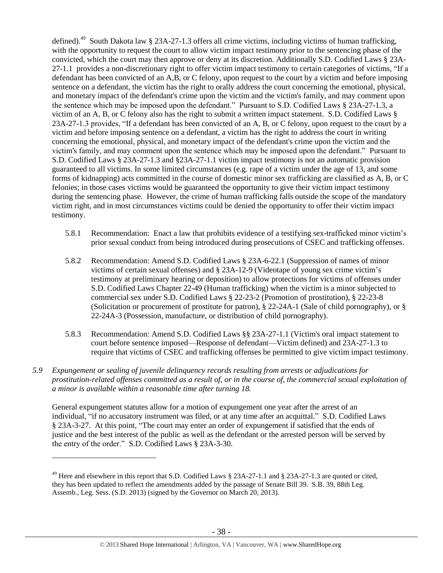defined).<sup>49</sup> South Dakota law § 23A-27-1.3 offers all crime victims, including victims of human trafficking, with the opportunity to request the court to allow victim impact testimony prior to the sentencing phase of the convicted, which the court may then approve or deny at its discretion. Additionally S.D. Codified Laws § 23A-27-1.1 provides a non-discretionary right to offer victim impact testimony to certain categories of victims, "If a defendant has been convicted of an A,B, or C felony, upon request to the court by a victim and before imposing sentence on a defendant, the victim has the right to orally address the court concerning the emotional, physical, and monetary impact of the defendant's crime upon the victim and the victim's family, and may comment upon the sentence which may be imposed upon the defendant." Pursuant to S.D. Codified Laws § 23A-27-1.3, a victim of an A, B, or C felony also has the right to submit a written impact statement. S.D. Codified Laws § 23A-27-1.3 provides, "If a defendant has been convicted of an A, B, or C felony, upon request to the court by a victim and before imposing sentence on a defendant, a victim has the right to address the court in writing concerning the emotional, physical, and monetary impact of the defendant's crime upon the victim and the victim's family, and may comment upon the sentence which may be imposed upon the defendant." Pursuant to S.D. Codified Laws § 23A-27-1.3 and §23A-27-1.1 victim impact testimony is not an automatic provision guaranteed to all victims. In some limited circumstances (e.g. rape of a victim under the age of 13, and some forms of kidnapping) acts committed in the course of domestic minor sex trafficking are classified as A, B, or C felonies; in those cases victims would be guaranteed the opportunity to give their victim impact testimony during the sentencing phase. However, the crime of human trafficking falls outside the scope of the mandatory victim right, and in most circumstances victims could be denied the opportunity to offer their victim impact testimony.

- 5.8.1 Recommendation: Enact a law that prohibits evidence of a testifying sex-trafficked minor victim's prior sexual conduct from being introduced during prosecutions of CSEC and trafficking offenses.
- 5.8.2 Recommendation: Amend S.D. Codified Laws § 23A-6-22.1 (Suppression of names of minor victims of certain sexual offenses) and § 23A-12-9 (Videotape of young sex crime victim's testimony at preliminary hearing or deposition) to allow protections for victims of offenses under S.D. Codified Laws Chapter 22-49 (Human trafficking) when the victim is a minor subjected to commercial sex under S.D. Codified Laws § 22-23-2 (Promotion of prostitution), § 22-23-8 (Solicitation or procurement of prostitute for patron), § 22-24A-1 (Sale of child pornography), or § 22-24A-3 (Possession, manufacture, or distribution of child pornography).
- 5.8.3 Recommendation: Amend S.D. Codified Laws §§ 23A-27-1.1 (Victim's oral impact statement to court before sentence imposed—Response of defendant—Victim defined) and 23A-27-1.3 to require that victims of CSEC and trafficking offenses be permitted to give victim impact testimony.
- *5.9 Expungement or sealing of juvenile delinquency records resulting from arrests or adjudications for prostitution-related offenses committed as a result of, or in the course of, the commercial sexual exploitation of a minor is available within a reasonable time after turning 18.*

General expungement statutes allow for a motion of expungement one year after the arrest of an individual, "if no accusatory instrument was filed, or at any time after an acquittal." S.D. Codified Laws § 23A-3-27. At this point, "The court may enter an order of expungement if satisfied that the ends of justice and the best interest of the public as well as the defendant or the arrested person will be served by the entry of the order." S.D. Codified Laws § 23A-3-30.

<sup>&</sup>lt;sup>49</sup> Here and elsewhere in this report that S.D. Codified Laws  $\S$  23A-27-1.1 and  $\S$  23A-27-1.3 are quoted or cited, they has been updated to reflect the amendments added by the passage of Senate Bill 39. S.B. 39, 88th Leg. Assemb., Leg. Sess. (S.D. 2013) (signed by the Governor on March 20, 2013).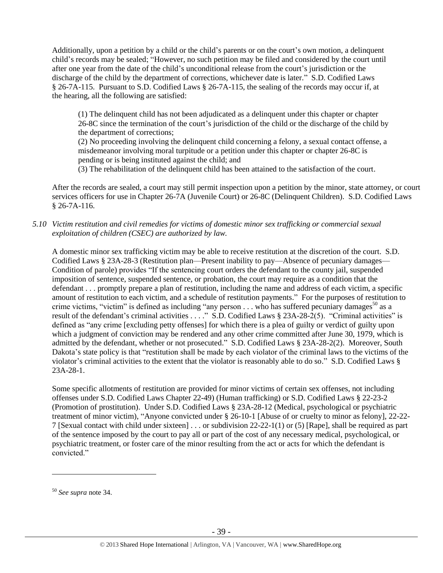Additionally, upon a petition by a child or the child's parents or on the court's own motion, a delinquent child's records may be sealed; "However, no such petition may be filed and considered by the court until after one year from the date of the child's unconditional release from the court's jurisdiction or the discharge of the child by the department of corrections, whichever date is later." S.D. Codified Laws § 26-7A-115. Pursuant to S.D. Codified Laws § 26-7A-115, the sealing of the records may occur if, at the hearing, all the following are satisfied:

(1) The delinquent child has not been adjudicated as a delinquent under this chapter or chapter 26-8C since the termination of the court's jurisdiction of the child or the discharge of the child by the department of corrections;

(2) No proceeding involving the delinquent child concerning a felony, a sexual contact offense, a misdemeanor involving moral turpitude or a petition under this chapter or chapter 26-8C is pending or is being instituted against the child; and

(3) The rehabilitation of the delinquent child has been attained to the satisfaction of the court.

After the records are sealed, a court may still permit inspection upon a petition by the minor, state attorney, or court services officers for use in Chapter 26-7A (Juvenile Court) or 26-8C (Delinquent Children). S.D. Codified Laws § 26-7A-116.

## *5.10 Victim restitution and civil remedies for victims of domestic minor sex trafficking or commercial sexual exploitation of children (CSEC) are authorized by law.*

A domestic minor sex trafficking victim may be able to receive restitution at the discretion of the court. S.D. Codified Laws § 23A-28-3 (Restitution plan—Present inability to pay—Absence of pecuniary damages— Condition of parole) provides "If the sentencing court orders the defendant to the county jail, suspended imposition of sentence, suspended sentence, or probation, the court may require as a condition that the defendant . . . promptly prepare a plan of restitution, including the name and address of each victim, a specific amount of restitution to each victim, and a schedule of restitution payments." For the purposes of restitution to crime victims, "victim" is defined as including "any person  $\dots$  who has suffered pecuniary damages<sup>50</sup> as a result of the defendant's criminal activities . . . ." S.D. Codified Laws § 23A-28-2(5). "Criminal activities" is defined as "any crime [excluding petty offenses] for which there is a plea of guilty or verdict of guilty upon which a judgment of conviction may be rendered and any other crime committed after June 30, 1979, which is admitted by the defendant, whether or not prosecuted." S.D. Codified Laws § 23A-28-2(2). Moreover, South Dakota's state policy is that "restitution shall be made by each violator of the criminal laws to the victims of the violator's criminal activities to the extent that the violator is reasonably able to do so." S.D. Codified Laws § 23A-28-1.

Some specific allotments of restitution are provided for minor victims of certain sex offenses, not including offenses under S.D. Codified Laws Chapter 22-49) (Human trafficking) or S.D. Codified Laws § 22-23-2 (Promotion of prostitution). Under S.D. Codified Laws § 23A-28-12 (Medical, psychological or psychiatric treatment of minor victim), "Anyone convicted under § 26-10-1 [Abuse of or cruelty to minor as felony], 22-22- 7 [Sexual contact with child under sixteen] . . . or subdivision 22-22-1(1) or (5) [Rape], shall be required as part of the sentence imposed by the court to pay all or part of the cost of any necessary medical, psychological, or psychiatric treatment, or foster care of the minor resulting from the act or acts for which the defendant is convicted."

<sup>50</sup> *See supra* note [34.](#page-21-0)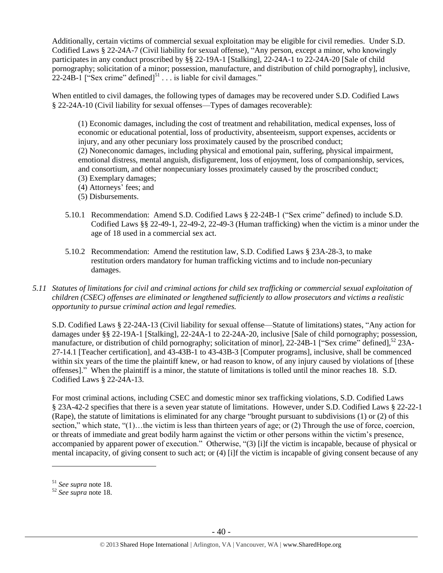Additionally, certain victims of commercial sexual exploitation may be eligible for civil remedies. Under S.D. Codified Laws § 22-24A-7 (Civil liability for sexual offense), "Any person, except a minor, who knowingly participates in any conduct proscribed by §§ 22-19A-1 [Stalking], 22-24A-1 to 22-24A-20 [Sale of child pornography; solicitation of a minor; possession, manufacture, and distribution of child pornography], inclusive,  $22-24B-1$  ["Sex crime" defined]<sup>51</sup> . . . is liable for civil damages."

When entitled to civil damages, the following types of damages may be recovered under S.D. Codified Laws § 22-24A-10 (Civil liability for sexual offenses—Types of damages recoverable):

(1) Economic damages, including the cost of treatment and rehabilitation, medical expenses, loss of economic or educational potential, loss of productivity, absenteeism, support expenses, accidents or injury, and any other pecuniary loss proximately caused by the proscribed conduct; (2) Noneconomic damages, including physical and emotional pain, suffering, physical impairment, emotional distress, mental anguish, disfigurement, loss of enjoyment, loss of companionship, services, and consortium, and other nonpecuniary losses proximately caused by the proscribed conduct; (3) Exemplary damages;

- (4) Attorneys' fees; and
- (5) Disbursements.
- 5.10.1 Recommendation: Amend S.D. Codified Laws § 22-24B-1 ("Sex crime" defined) to include S.D. Codified Laws §§ 22-49-1, 22-49-2, 22-49-3 (Human trafficking) when the victim is a minor under the age of 18 used in a commercial sex act.
- 5.10.2 Recommendation: Amend the restitution law, S.D. Codified Laws § 23A-28-3, to make restitution orders mandatory for human trafficking victims and to include non-pecuniary damages.
- *5.11 Statutes of limitations for civil and criminal actions for child sex trafficking or commercial sexual exploitation of children (CSEC) offenses are eliminated or lengthened sufficiently to allow prosecutors and victims a realistic opportunity to pursue criminal action and legal remedies.*

S.D. Codified Laws § 22-24A-13 (Civil liability for sexual offense—Statute of limitations) states, "Any action for damages under §§ 22-19A-1 [Stalking], 22-24A-1 to 22-24A-20, inclusive [Sale of child pornography; possession, manufacture, or distribution of child pornography; solicitation of minor], 22-24B-1 ["Sex crime" defined],<sup>52</sup> 23A-27-14.1 [Teacher certification], and 43-43B-1 to 43-43B-3 [Computer programs], inclusive, shall be commenced within six years of the time the plaintiff knew, or had reason to know, of any injury caused by violations of [these offenses]." When the plaintiff is a minor, the statute of limitations is tolled until the minor reaches 18. S.D. Codified Laws § 22-24A-13.

For most criminal actions, including CSEC and domestic minor sex trafficking violations, S.D. Codified Laws § 23A-42-2 specifies that there is a seven year statute of limitations. However, under S.D. Codified Laws § 22-22-1 (Rape), the statute of limitations is eliminated for any charge "brought pursuant to subdivisions (1) or (2) of this section," which state, " $(1)$ ... the victim is less than thirteen years of age; or  $(2)$  Through the use of force, coercion, or threats of immediate and great bodily harm against the victim or other persons within the victim's presence, accompanied by apparent power of execution." Otherwise, "(3) [i]f the victim is incapable, because of physical or mental incapacity, of giving consent to such act; or (4) [i]f the victim is incapable of giving consent because of any

<sup>51</sup> *See supra* note [18.](#page-9-0)

<sup>52</sup> *See supra* note [18.](#page-9-0)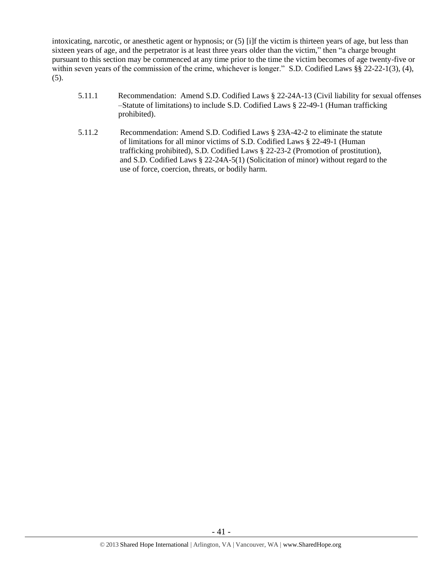intoxicating, narcotic, or anesthetic agent or hypnosis; or (5) [i]f the victim is thirteen years of age, but less than sixteen years of age, and the perpetrator is at least three years older than the victim," then "a charge brought pursuant to this section may be commenced at any time prior to the time the victim becomes of age twenty-five or within seven years of the commission of the crime, whichever is longer." S.D. Codified Laws §§ 22-22-1(3), (4),  $(5)$ .

- 5.11.1 Recommendation: Amend S.D. Codified Laws § 22-24A-13 (Civil liability for sexual offenses –Statute of limitations) to include S.D. Codified Laws § 22-49-1 (Human trafficking prohibited).
- 5.11.2 Recommendation: Amend S.D. Codified Laws § 23A-42-2 to eliminate the statute of limitations for all minor victims of S.D. Codified Laws § 22-49-1 (Human trafficking prohibited), S.D. Codified Laws § 22-23-2 (Promotion of prostitution), and S.D. Codified Laws § 22-24A-5(1) (Solicitation of minor) without regard to the use of force, coercion, threats, or bodily harm.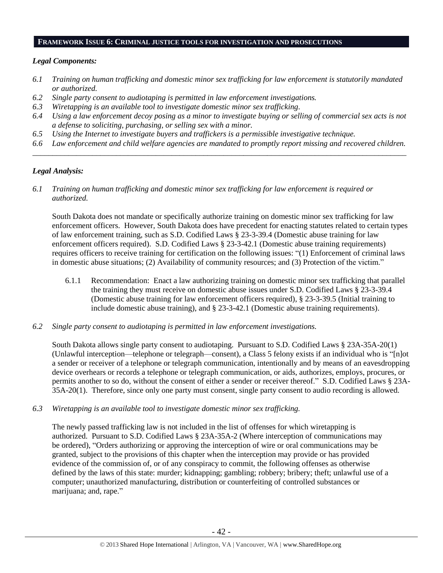#### **FRAMEWORK ISSUE 6: CRIMINAL JUSTICE TOOLS FOR INVESTIGATION AND PROSECUTIONS**

#### *Legal Components:*

- *6.1 Training on human trafficking and domestic minor sex trafficking for law enforcement is statutorily mandated or authorized.*
- *6.2 Single party consent to audiotaping is permitted in law enforcement investigations.*
- *6.3 Wiretapping is an available tool to investigate domestic minor sex trafficking.*
- *6.4 Using a law enforcement decoy posing as a minor to investigate buying or selling of commercial sex acts is not a defense to soliciting, purchasing, or selling sex with a minor.*
- *6.5 Using the Internet to investigate buyers and traffickers is a permissible investigative technique.*
- *6.6 Law enforcement and child welfare agencies are mandated to promptly report missing and recovered children. \_\_\_\_\_\_\_\_\_\_\_\_\_\_\_\_\_\_\_\_\_\_\_\_\_\_\_\_\_\_\_\_\_\_\_\_\_\_\_\_\_\_\_\_\_\_\_\_\_\_\_\_\_\_\_\_\_\_\_\_\_\_\_\_\_\_\_\_\_\_\_\_\_\_\_\_\_\_\_\_\_\_\_\_\_\_\_\_\_\_\_\_\_\_*

## *Legal Analysis:*

*6.1 Training on human trafficking and domestic minor sex trafficking for law enforcement is required or authorized.*

South Dakota does not mandate or specifically authorize training on domestic minor sex trafficking for law enforcement officers. However, South Dakota does have precedent for enacting statutes related to certain types of law enforcement training, such as S.D. Codified Laws § 23-3-39.4 (Domestic abuse training for law enforcement officers required). S.D. Codified Laws § 23-3-42.1 (Domestic abuse training requirements) requires officers to receive training for certification on the following issues: "(1) Enforcement of criminal laws in domestic abuse situations; (2) Availability of community resources; and (3) Protection of the victim."

- 6.1.1 Recommendation: Enact a law authorizing training on domestic minor sex trafficking that parallel the training they must receive on domestic abuse issues under S.D. Codified Laws § 23-3-39.4 (Domestic abuse training for law enforcement officers required), § 23-3-39.5 (Initial training to include domestic abuse training), and § 23-3-42.1 (Domestic abuse training requirements).
- *6.2 Single party consent to audiotaping is permitted in law enforcement investigations.*

South Dakota allows single party consent to audiotaping. Pursuant to S.D. Codified Laws § 23A-35A-20(1) (Unlawful interception—telephone or telegraph—consent), a Class 5 felony exists if an individual who is "[n]ot a sender or receiver of a telephone or telegraph communication, intentionally and by means of an eavesdropping device overhears or records a telephone or telegraph communication, or aids, authorizes, employs, procures, or permits another to so do, without the consent of either a sender or receiver thereof." S.D. Codified Laws § 23A-35A-20(1). Therefore, since only one party must consent, single party consent to audio recording is allowed.

*6.3 Wiretapping is an available tool to investigate domestic minor sex trafficking.* 

The newly passed trafficking law is not included in the list of offenses for which wiretapping is authorized. Pursuant to S.D. Codified Laws § 23A-35A-2 (Where interception of communications may be ordered), "Orders authorizing or approving the interception of wire or oral communications may be granted, subject to the provisions of this chapter when the interception may provide or has provided evidence of the commission of, or of any conspiracy to commit, the following offenses as otherwise defined by the laws of this state: murder; kidnapping; gambling; robbery; bribery; theft; unlawful use of a computer; unauthorized manufacturing, distribution or counterfeiting of controlled substances or marijuana; and, rape."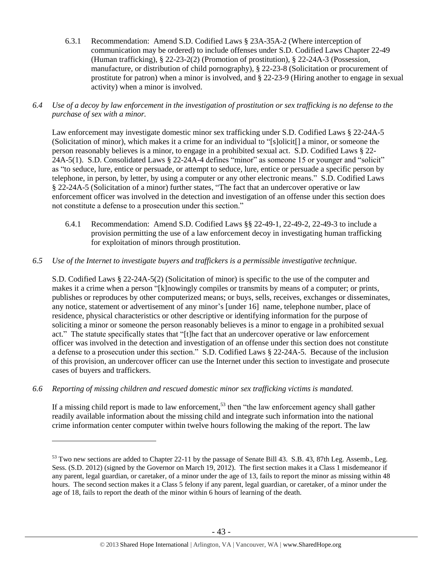- 6.3.1 Recommendation: Amend S.D. Codified Laws § 23A-35A-2 (Where interception of communication may be ordered) to include offenses under S.D. Codified Laws Chapter 22-49 (Human trafficking), § 22-23-2(2) (Promotion of prostitution), § 22-24A-3 (Possession, manufacture, or distribution of child pornography), § 22-23-8 (Solicitation or procurement of prostitute for patron) when a minor is involved, and § 22-23-9 (Hiring another to engage in sexual activity) when a minor is involved.
- *6.4 Use of a decoy by law enforcement in the investigation of prostitution or sex trafficking is no defense to the purchase of sex with a minor.*

Law enforcement may investigate domestic minor sex trafficking under S.D. Codified Laws § 22-24A-5 (Solicitation of minor), which makes it a crime for an individual to "[s]olicit[] a minor, or someone the person reasonably believes is a minor, to engage in a prohibited sexual act. S.D. Codified Laws § 22- 24A-5(1). S.D. Consolidated Laws § 22-24A-4 defines "minor" as someone 15 or younger and "solicit" as "to seduce, lure, entice or persuade, or attempt to seduce, lure, entice or persuade a specific person by telephone, in person, by letter, by using a computer or any other electronic means." S.D. Codified Laws § 22-24A-5 (Solicitation of a minor) further states, "The fact that an undercover operative or law enforcement officer was involved in the detection and investigation of an offense under this section does not constitute a defense to a prosecution under this section."

- 6.4.1 Recommendation: Amend S.D. Codified Laws §§ 22-49-1, 22-49-2, 22-49-3 to include a provision permitting the use of a law enforcement decoy in investigating human trafficking for exploitation of minors through prostitution.
- *6.5 Use of the Internet to investigate buyers and traffickers is a permissible investigative technique.*

S.D. Codified Laws § 22-24A-5(2) (Solicitation of minor) is specific to the use of the computer and makes it a crime when a person "[k]nowingly compiles or transmits by means of a computer; or prints, publishes or reproduces by other computerized means; or buys, sells, receives, exchanges or disseminates, any notice, statement or advertisement of any minor's [under 16] name, telephone number, place of residence, physical characteristics or other descriptive or identifying information for the purpose of soliciting a minor or someone the person reasonably believes is a minor to engage in a prohibited sexual act." The statute specifically states that "[t]he fact that an undercover operative or law enforcement officer was involved in the detection and investigation of an offense under this section does not constitute a defense to a prosecution under this section." S.D. Codified Laws § 22-24A-5. Because of the inclusion of this provision, an undercover officer can use the Internet under this section to investigate and prosecute cases of buyers and traffickers.

*6.6 Reporting of missing children and rescued domestic minor sex trafficking victims is mandated.*

 $\overline{a}$ 

If a missing child report is made to law enforcement,  $5<sup>3</sup>$  then "the law enforcement agency shall gather readily available information about the missing child and integrate such information into the national crime information center computer within twelve hours following the making of the report. The law

<sup>&</sup>lt;sup>53</sup> Two new sections are added to Chapter 22-11 by the passage of Senate Bill 43. S.B. 43, 87th Leg. Assemb., Leg. Sess. (S.D. 2012) (signed by the Governor on March 19, 2012). The first section makes it a Class 1 misdemeanor if any parent, legal guardian, or caretaker, of a minor under the age of 13, fails to report the minor as missing within 48 hours. The second section makes it a Class 5 felony if any parent, legal guardian, or caretaker, of a minor under the age of 18, fails to report the death of the minor within 6 hours of learning of the death.